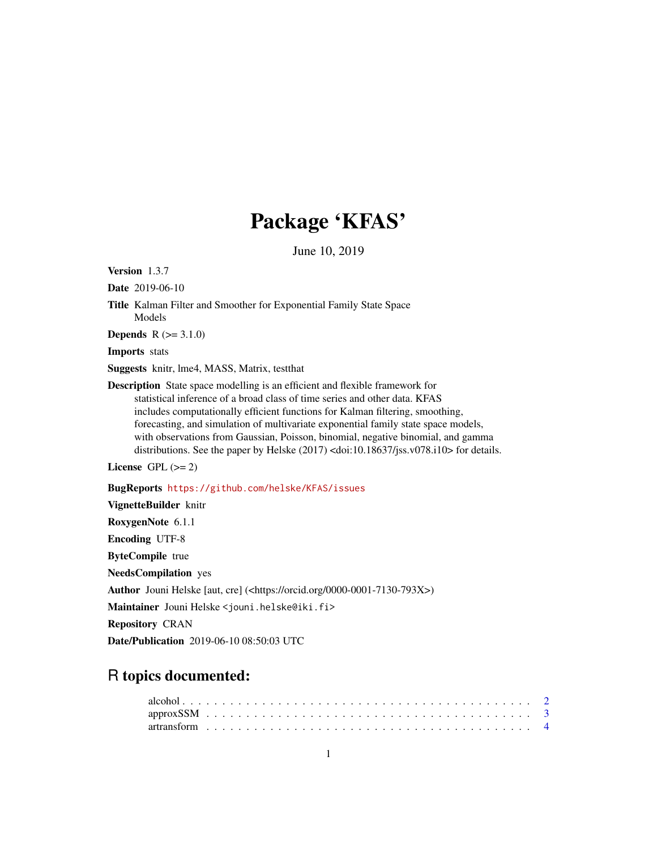# Package 'KFAS'

June 10, 2019

<span id="page-0-0"></span>Version 1.3.7

Date 2019-06-10

Title Kalman Filter and Smoother for Exponential Family State Space Models

**Depends**  $R (= 3.1.0)$ 

Imports stats

Suggests knitr, lme4, MASS, Matrix, testthat

Description State space modelling is an efficient and flexible framework for statistical inference of a broad class of time series and other data. KFAS includes computationally efficient functions for Kalman filtering, smoothing, forecasting, and simulation of multivariate exponential family state space models, with observations from Gaussian, Poisson, binomial, negative binomial, and gamma distributions. See the paper by Helske (2017) <doi:10.18637/jss.v078.i10> for details.

License GPL  $(>= 2)$ 

BugReports <https://github.com/helske/KFAS/issues>

VignetteBuilder knitr RoxygenNote 6.1.1 Encoding UTF-8 ByteCompile true NeedsCompilation yes Author Jouni Helske [aut, cre] (<https://orcid.org/0000-0001-7130-793X>) Maintainer Jouni Helske <jouni.helske@iki.fi> Repository CRAN

Date/Publication 2019-06-10 08:50:03 UTC

# R topics documented: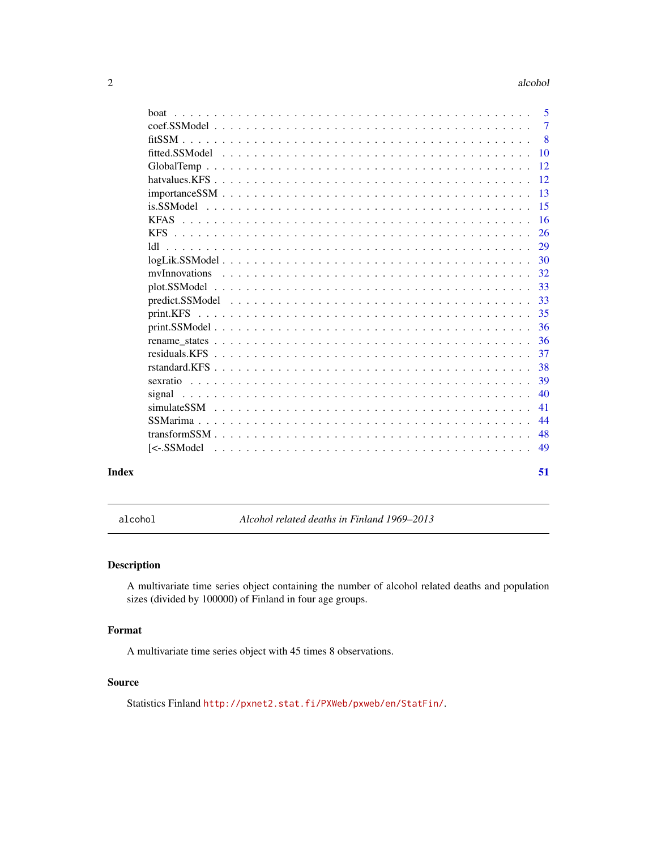#### <span id="page-1-0"></span>2 alcohol and  $\alpha$  alcohol and  $\alpha$  alcohol and  $\alpha$  alcohol and  $\alpha$  alcohol and  $\alpha$  and  $\alpha$  and  $\alpha$  and  $\alpha$  and  $\alpha$  and  $\alpha$  and  $\alpha$  and  $\alpha$  and  $\alpha$  and  $\alpha$  and  $\alpha$  and  $\alpha$  and  $\alpha$  and  $\alpha$  and  $\alpha$  and  $\alpha$

| hoat   | $\overline{5}$ |
|--------|----------------|
|        | $\overline{7}$ |
|        | 8              |
|        |                |
|        | -12            |
|        |                |
|        |                |
|        | -15            |
|        | -16            |
|        |                |
|        |                |
|        |                |
|        | 32             |
|        | 33             |
|        | 33             |
|        | 35             |
|        | -36            |
|        | 36             |
|        | 37             |
|        | 38             |
|        | 39             |
| signal | 40             |
|        | 41             |
|        | 44             |
|        | 48             |
|        | 49             |
|        | 51             |

alcohol *Alcohol related deaths in Finland 1969–2013*

# Description

A multivariate time series object containing the number of alcohol related deaths and population sizes (divided by 100000) of Finland in four age groups.

# Format

A multivariate time series object with 45 times 8 observations.

#### Source

Statistics Finland <http://pxnet2.stat.fi/PXWeb/pxweb/en/StatFin/>.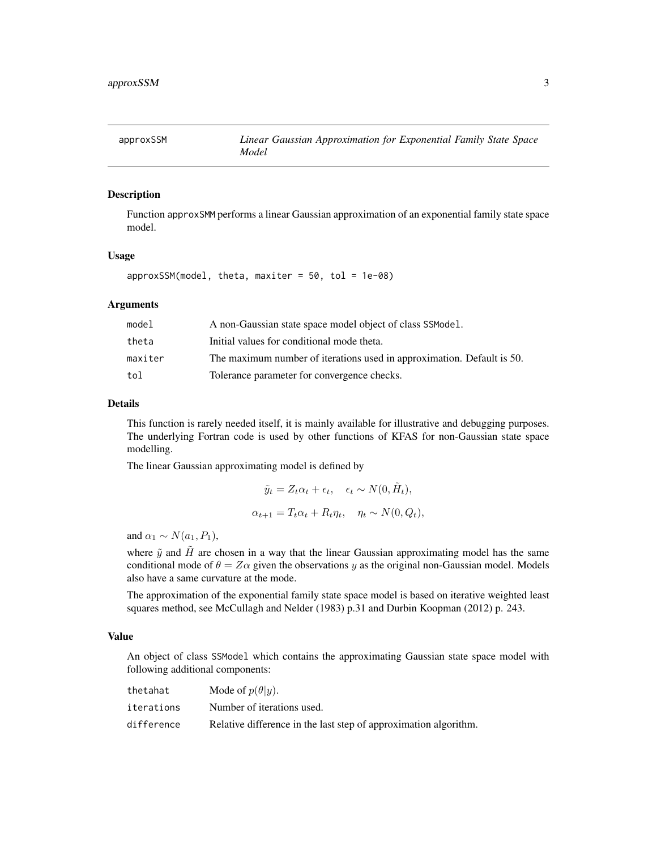<span id="page-2-1"></span><span id="page-2-0"></span>

# Description

Function approxSMM performs a linear Gaussian approximation of an exponential family state space model.

#### Usage

 $approxSSM(model, theta, maxiter = 50, tol = 1e-08)$ 

#### **Arguments**

| model   | A non-Gaussian state space model object of class SSModel.              |
|---------|------------------------------------------------------------------------|
| theta   | Initial values for conditional mode theta.                             |
| maxiter | The maximum number of iterations used in approximation. Default is 50. |
| tol     | Tolerance parameter for convergence checks.                            |

### Details

This function is rarely needed itself, it is mainly available for illustrative and debugging purposes. The underlying Fortran code is used by other functions of KFAS for non-Gaussian state space modelling.

The linear Gaussian approximating model is defined by

$$
\tilde{y}_t = Z_t \alpha_t + \epsilon_t, \quad \epsilon_t \sim N(0, \tilde{H}_t),
$$
  

$$
\alpha_{t+1} = T_t \alpha_t + R_t \eta_t, \quad \eta_t \sim N(0, Q_t),
$$

and  $\alpha_1 \sim N(a_1, P_1)$ ,

where  $\tilde{y}$  and  $\tilde{H}$  are chosen in a way that the linear Gaussian approximating model has the same conditional mode of  $\theta = Z\alpha$  given the observations y as the original non-Gaussian model. Models also have a same curvature at the mode.

The approximation of the exponential family state space model is based on iterative weighted least squares method, see McCullagh and Nelder (1983) p.31 and Durbin Koopman (2012) p. 243.

## Value

An object of class SSModel which contains the approximating Gaussian state space model with following additional components:

| thetahat   | Mode of $p(\theta   y)$ .                                        |
|------------|------------------------------------------------------------------|
| iterations | Number of iterations used.                                       |
| difference | Relative difference in the last step of approximation algorithm. |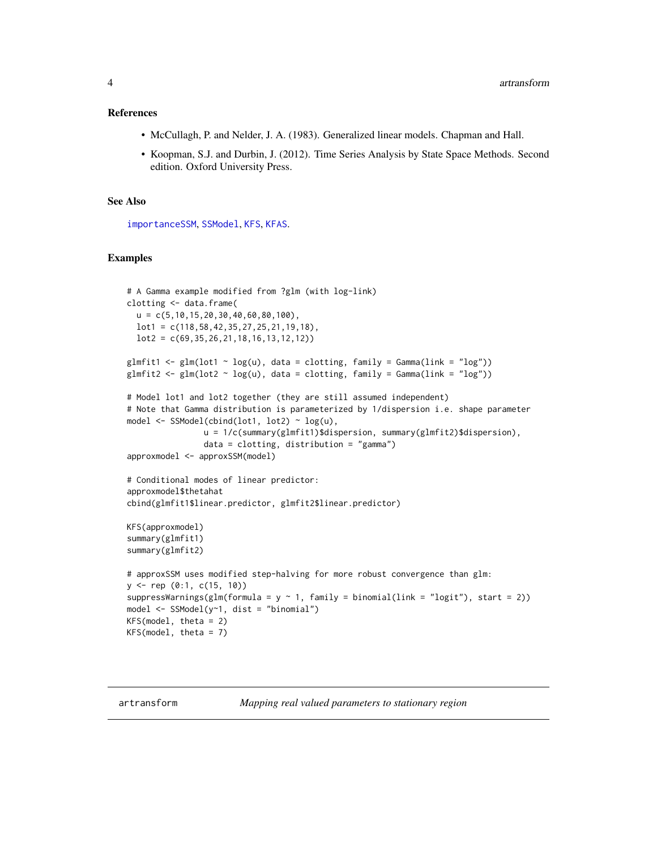#### <span id="page-3-0"></span>References

- McCullagh, P. and Nelder, J. A. (1983). Generalized linear models. Chapman and Hall.
- Koopman, S.J. and Durbin, J. (2012). Time Series Analysis by State Space Methods. Second edition. Oxford University Press.

# See Also

[importanceSSM](#page-12-1), [SSModel](#page-43-1), [KFS](#page-25-1), [KFAS](#page-15-1).

#### Examples

```
# A Gamma example modified from ?glm (with log-link)
clotting <- data.frame(
  u = c(5, 10, 15, 20, 30, 40, 60, 80, 100),
  lot1 = c(118,58,42,35,27,25,21,19,18),
  lot2 = c(69, 35, 26, 21, 18, 16, 13, 12, 12))glmfit1 <- glm(lot1 \sim log(u)), data = clotting, family = Gamma(link = "log"))
glmfit2 <- glm(lot2 \sim log(u), data = clotting, family = Gamma(link = "log"))
# Model lot1 and lot2 together (they are still assumed independent)
# Note that Gamma distribution is parameterized by 1/dispersion i.e. shape parameter
model <- SSModel(cbind(lot1, lot2) ~ log(u),
                u = 1/c(summary(glmfit1)$dispersion, summary(glmfit2)$dispersion),
                data = clotting, distribution = "gamma")
approxmodel <- approxSSM(model)
# Conditional modes of linear predictor:
approxmodel$thetahat
cbind(glmfit1$linear.predictor, glmfit2$linear.predictor)
KFS(approxmodel)
summary(glmfit1)
summary(glmfit2)
# approxSSM uses modified step-halving for more robust convergence than glm:
y \leq - rep (0:1, c(15, 10))suppressWarnings(glm(formula = y ~ 1, family = binomial(link = "logit"), start = 2))
model \leq SSModel(y\leq1, dist = "binomial")
KFS(model, theta = 2)
KFS(model, theta = 7)
```
artransform *Mapping real valued parameters to stationary region*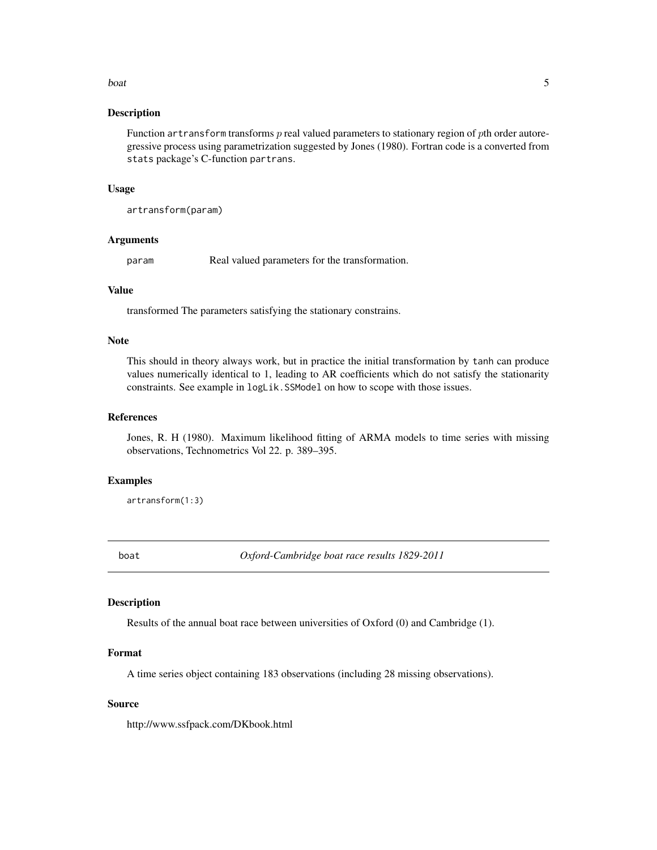#### <span id="page-4-0"></span>boat 5 and 5 and 5 and 5 and 5 and 5 and 5 and 5 and 5 and 5 and 5 and 5 and 5 and 5 and 5 and 5 and 5 and 5 and 5 and 5 and 5 and 5 and 5 and 5 and 5 and 5 and 5 and 5 and 5 and 5 and 5 and 5 and 5 and 5 and 5 and 5 and 5

#### **Description**

Function artransform transforms  $p$  real valued parameters to stationary region of  $p$ th order autoregressive process using parametrization suggested by Jones (1980). Fortran code is a converted from stats package's C-function partrans.

#### Usage

artransform(param)

#### Arguments

param Real valued parameters for the transformation.

# Value

transformed The parameters satisfying the stationary constrains.

#### Note

This should in theory always work, but in practice the initial transformation by tanh can produce values numerically identical to 1, leading to AR coefficients which do not satisfy the stationarity constraints. See example in logLik.SSModel on how to scope with those issues.

#### References

Jones, R. H (1980). Maximum likelihood fitting of ARMA models to time series with missing observations, Technometrics Vol 22. p. 389–395.

#### Examples

artransform(1:3)

<span id="page-4-1"></span>boat *Oxford-Cambridge boat race results 1829-2011*

#### Description

Results of the annual boat race between universities of Oxford (0) and Cambridge (1).

#### Format

A time series object containing 183 observations (including 28 missing observations).

# Source

http://www.ssfpack.com/DKbook.html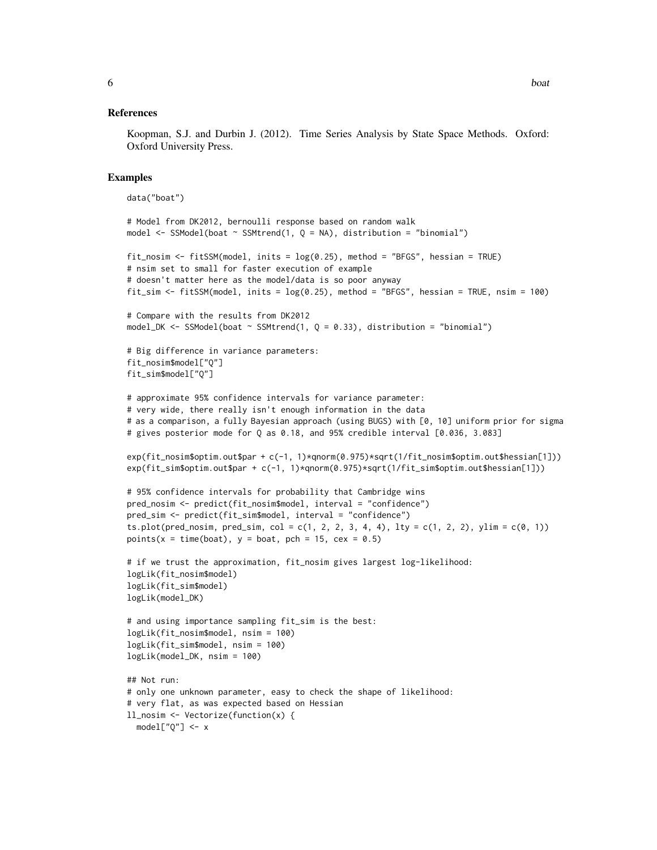#### References

Koopman, S.J. and Durbin J. (2012). Time Series Analysis by State Space Methods. Oxford: Oxford University Press.

```
data("boat")
# Model from DK2012, bernoulli response based on random walk
model <- SSModel(boat ~ SSMtrend(1, Q = NA), distribution = "binomial")
fit_nosim <- fitSSM(model, inits = log(0.25), method = "BFGS", hessian = TRUE)
# nsim set to small for faster execution of example
# doesn't matter here as the model/data is so poor anyway
fit_sim <- fitSSM(model, inits = log(0.25), method = "BFGS", hessian = TRUE, nsim = 100)
# Compare with the results from DK2012
model_DK <- SSModel(boat \sim SSMtrend(1, Q = 0.33), distribution = "binomial")
# Big difference in variance parameters:
fit_nosim$model["Q"]
fit_sim$model["Q"]
# approximate 95% confidence intervals for variance parameter:
# very wide, there really isn't enough information in the data
# as a comparison, a fully Bayesian approach (using BUGS) with [0, 10] uniform prior for sigma
# gives posterior mode for Q as 0.18, and 95% credible interval [0.036, 3.083]
exp(fit_nosim$optim.out$par + c(-1, 1)*qnorm(0.975)*sqrt(1/fit_nosim$optim.out$hessian[1]))
exp(fit_sim$optim.out$par + c(-1, 1)*qnorm(0.975)*sqrt(1/fit_sim$optim.out$hessian[1]))
# 95% confidence intervals for probability that Cambridge wins
pred_nosim <- predict(fit_nosim$model, interval = "confidence")
pred_sim <- predict(fit_sim$model, interval = "confidence")
ts.plot(pred_nosim, pred_sim, col = c(1, 2, 2, 3, 4, 4), lty = c(1, 2, 2), ylim = c(0, 1))
points(x = time(boat), y = boat, pch = 15, cex = 0.5)# if we trust the approximation, fit_nosim gives largest log-likelihood:
logLik(fit_nosim$model)
logLik(fit_sim$model)
logLik(model_DK)
# and using importance sampling fit_sim is the best:
logLik(fit_nosim$model, nsim = 100)
logLik(fit_sim$model, nsim = 100)
logLik(model_DK, nsim = 100)
## Not run:
# only one unknown parameter, easy to check the shape of likelihood:
# very flat, as was expected based on Hessian
ll_nosim <- Vectorize(function(x) {
  model['Q''] < -x
```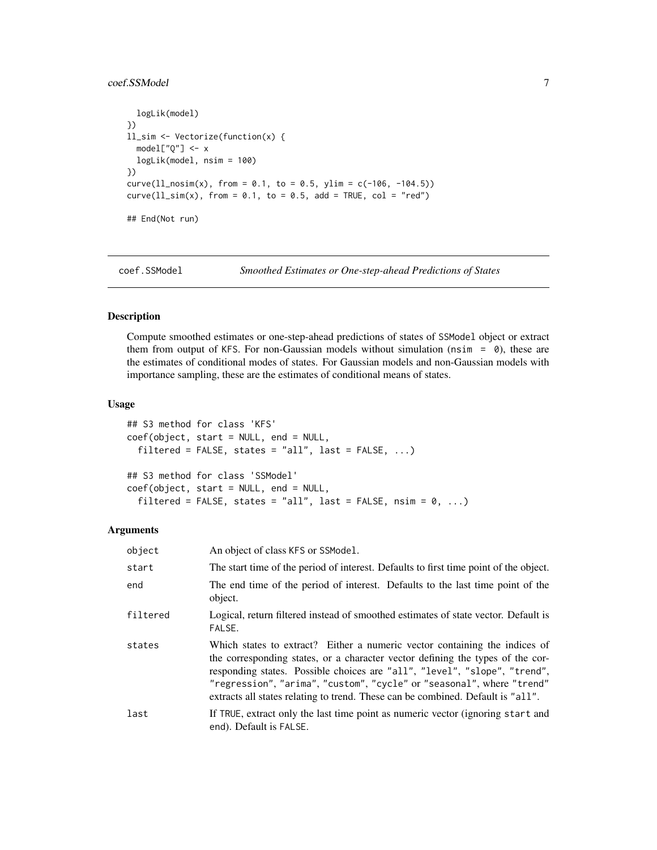# <span id="page-6-0"></span>coef.SSModel 7 and 7 and 7 and 7 and 7 and 7 and 7 and 7 and 7 and 7 and 7 and 7 and 7 and 7 and 7 and 7 and 7 and 7 and 7 and 7 and 7 and 7 and 7 and 7 and 7 and 7 and 7 and 7 and 7 and 7 and 7 and 7 and 7 and 7 and 7 and

```
logLik(model)
})
ll_sim <- Vectorize(function(x) {
 model['Q''] < -xlogLik(model, nsim = 100)
})
curve(11_nosim(x), from = 0.1, to = 0.5, ylim = c(-106, -104.5))curve(11\_sim(x), from = 0.1, to = 0.5, add = TRUE, col = "red")## End(Not run)
```
coef.SSModel *Smoothed Estimates or One-step-ahead Predictions of States*

#### Description

Compute smoothed estimates or one-step-ahead predictions of states of SSModel object or extract them from output of KFS. For non-Gaussian models without simulation ( $nsim = 0$ ), these are the estimates of conditional modes of states. For Gaussian models and non-Gaussian models with importance sampling, these are the estimates of conditional means of states.

#### Usage

```
## S3 method for class 'KFS'
coef(object, start = NULL, end = NULL,
  filtered = FALSE, states = "all", last = FALSE, \ldots)
## S3 method for class 'SSModel'
coef(object, start = NULL, end = NULL,
  filtered = FALSE, states = "all", last = FALSE, nsim = 0, ...)
```
# Arguments

| object   | An object of class KFS or SSModel.                                                                                                                                                                                                                                                                                                                                                                    |
|----------|-------------------------------------------------------------------------------------------------------------------------------------------------------------------------------------------------------------------------------------------------------------------------------------------------------------------------------------------------------------------------------------------------------|
| start    | The start time of the period of interest. Defaults to first time point of the object.                                                                                                                                                                                                                                                                                                                 |
| end      | The end time of the period of interest. Defaults to the last time point of the<br>object.                                                                                                                                                                                                                                                                                                             |
| filtered | Logical, return filtered instead of smoothed estimates of state vector. Default is<br>FALSE.                                                                                                                                                                                                                                                                                                          |
| states   | Which states to extract? Either a numeric vector containing the indices of<br>the corresponding states, or a character vector defining the types of the cor-<br>responding states. Possible choices are "all", "level", "slope", "trend",<br>"regression", "arima", "custom", "cycle" or "seasonal", where "trend"<br>extracts all states relating to trend. These can be combined. Default is "all". |
| last     | If TRUE, extract only the last time point as numeric vector (ignoring start and<br>end). Default is FALSE.                                                                                                                                                                                                                                                                                            |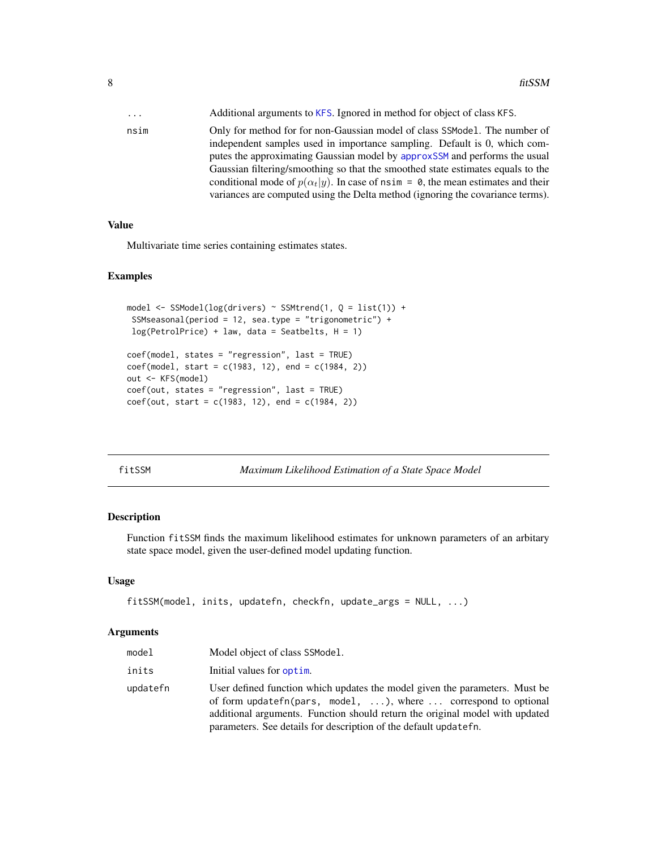<span id="page-7-0"></span>

| $\cdots$ | Additional arguments to KFS. Ignored in method for object of class KFS.                                                                                                   |
|----------|---------------------------------------------------------------------------------------------------------------------------------------------------------------------------|
| nsim     | Only for method for for non-Gaussian model of class SSModel. The number of<br>independent samples used in importance sampling. Default is 0, which com-                   |
|          | putes the approximating Gaussian model by approxSSM and performs the usual                                                                                                |
|          | Gaussian filtering/smoothing so that the smoothed state estimates equals to the                                                                                           |
|          | conditional mode of $p(\alpha_t y)$ . In case of nsim = 0, the mean estimates and their<br>variances are computed using the Delta method (ignoring the covariance terms). |

## Value

Multivariate time series containing estimates states.

#### Examples

```
model <- SSModel(log(drivers) ~ SSMtrend(1, Q = list(1)) +
 SSMseasonal(period = 12, sea.type = "trigonometric") +
 log(PetrolPrice) + law, data = Seatbelts, H = 1)coef(model, states = "regression", last = TRUE)
coef(model, start = c(1983, 12), end = c(1984, 2))out <- KFS(model)
coef(out, states = "regression", last = TRUE)
coef(out, start = c(1983, 12), end = c(1984, 2))
```

| М   |
|-----|
| יוי |
|     |

*Maximum Likelihood Estimation of a State Space Model* 

## Description

Function fitSSM finds the maximum likelihood estimates for unknown parameters of an arbitary state space model, given the user-defined model updating function.

#### Usage

```
fitSSM(model, inits, updatefn, checkfn, update_args = NULL, ...)
```
# Arguments

| model    | Model object of class SSModel.                                                                                                                                                                                                                                                                                   |
|----------|------------------------------------------------------------------------------------------------------------------------------------------------------------------------------------------------------------------------------------------------------------------------------------------------------------------|
| inits    | Initial values for optim.                                                                                                                                                                                                                                                                                        |
| updatefn | User defined function which updates the model given the parameters. Must be<br>of form updatefn(pars, model, $\dots$ ), where $\dots$ correspond to optional<br>additional arguments. Function should return the original model with updated<br>parameters. See details for description of the default updatefn. |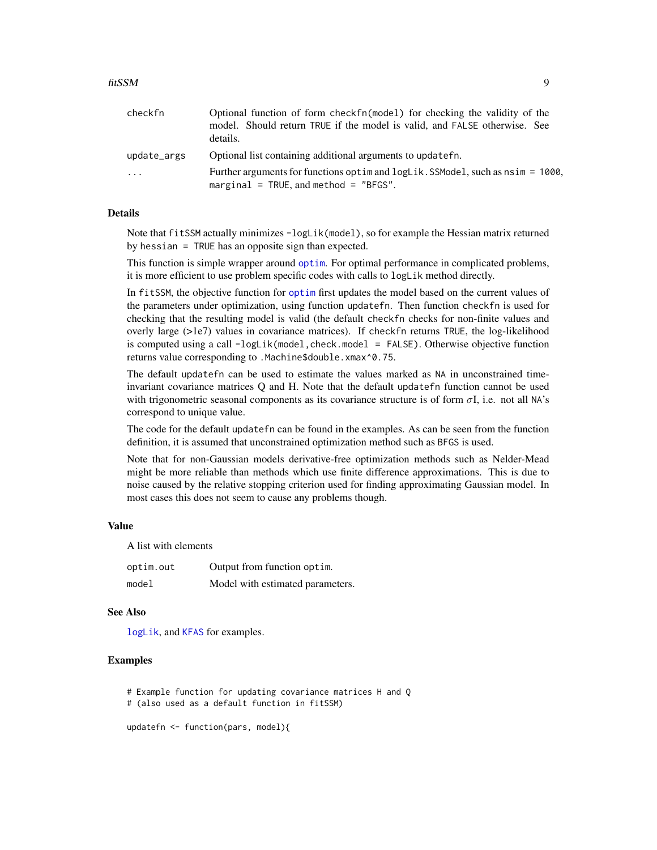<span id="page-8-0"></span>

| checkfn     | Optional function of form checkfn(model) for checking the validity of the                                                      |
|-------------|--------------------------------------------------------------------------------------------------------------------------------|
|             | model. Should return TRUE if the model is valid, and FALSE otherwise. See                                                      |
|             | details.                                                                                                                       |
| update_args | Optional list containing additional arguments to updatefn.                                                                     |
| .           | Further arguments for functions optime and logLik. SSModel, such as $nsim = 1000$ ,<br>marginal = TRUE, and method = $"BFGS".$ |

# Details

Note that fitSSM actually minimizes -logLik(model), so for example the Hessian matrix returned by hessian = TRUE has an opposite sign than expected.

This function is simple wrapper around [optim](#page-0-0). For optimal performance in complicated problems, it is more efficient to use problem specific codes with calls to logLik method directly.

In fitSSM, the objective function for [optim](#page-0-0) first updates the model based on the current values of the parameters under optimization, using function updatefn. Then function checkfn is used for checking that the resulting model is valid (the default checkfn checks for non-finite values and overly large (>1e7) values in covariance matrices). If checkfn returns TRUE, the log-likelihood is computed using a call -logLik(model, check.model = FALSE). Otherwise objective function returns value corresponding to .Machine\$double.xmax^0.75.

The default updatefn can be used to estimate the values marked as NA in unconstrained timeinvariant covariance matrices Q and H. Note that the default updatefn function cannot be used with trigonometric seasonal components as its covariance structure is of form  $\sigma I$ , i.e. not all NA's correspond to unique value.

The code for the default updatefn can be found in the examples. As can be seen from the function definition, it is assumed that unconstrained optimization method such as BFGS is used.

Note that for non-Gaussian models derivative-free optimization methods such as Nelder-Mead might be more reliable than methods which use finite difference approximations. This is due to noise caused by the relative stopping criterion used for finding approximating Gaussian model. In most cases this does not seem to cause any problems though.

#### Value

A list with elements

| optim.out | Output from function optim.      |
|-----------|----------------------------------|
| model     | Model with estimated parameters. |

#### See Also

[logLik](#page-29-1), and [KFAS](#page-15-1) for examples.

# Examples

# Example function for updating covariance matrices H and Q

# (also used as a default function in fitSSM)

updatefn <- function(pars, model){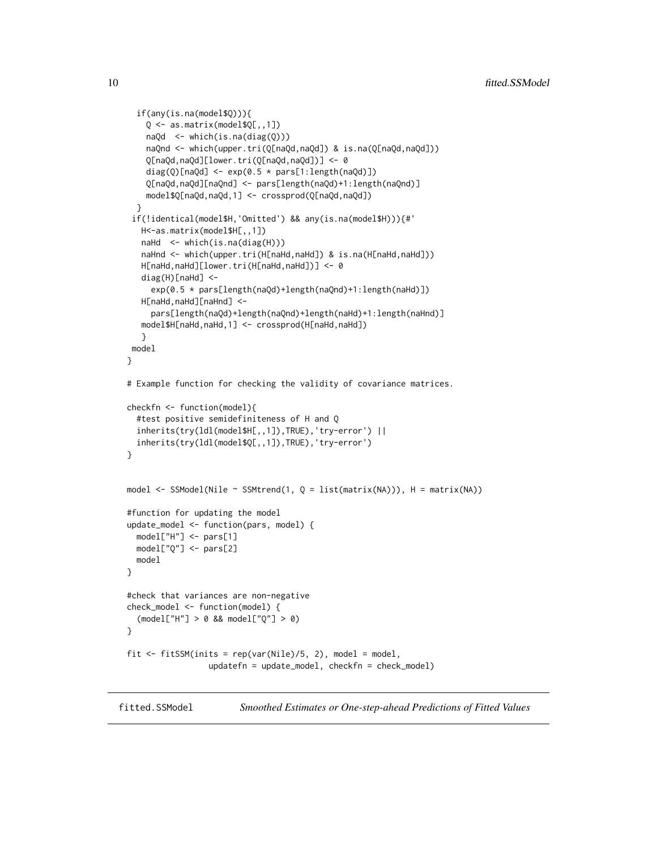```
if(any(is.na(model$Q))){
    Q <- as.matrix(model$Q[,,1])
    naQd <- which(is.na(diag(Q)))
   naQnd <- which(upper.tri(Q[naQd,naQd]) & is.na(Q[naQd,naQd]))
    Q[naQd,naQd][lower.tri(Q[naQd,naQd])] <- 0
    diag(Q)[naQd] \leq exp(0.5 \star pars[1:length(naQd)])
    Q[naQd,naQd][naQnd] <- pars[length(naQd)+1:length(naQnd)]
    model$Q[naQd,naQd,1] <- crossprod(Q[naQd,naQd])
 }
 if(!identical(model$H,'Omitted') && any(is.na(model$H))){#'
  H<-as.matrix(model$H[,,1])
  naHd <- which(is.na(diag(H)))
  naHnd <- which(upper.tri(H[naHd,naHd]) & is.na(H[naHd,naHd]))
  H[naHd,naHd][lower.tri(H[naHd,naHd])] <- 0
  diag(H)[naHd] <-
     exp(0.5 * pars[length(naQd)+length(naQnd)+1:length(naHd)])
  H[naHd,naHd][naHnd] <-
     pars[length(naQd)+length(naQnd)+length(naHd)+1:length(naHnd)]
  model$H[naHd,naHd,1] <- crossprod(H[naHd,naHd])
   }
model
}
# Example function for checking the validity of covariance matrices.
checkfn <- function(model){
 #test positive semidefiniteness of H and Q
 inherits(try(ldl(model$H[,,1]),TRUE),'try-error') ||
 inherits(try(ldl(model$Q[,,1]),TRUE),'try-error')
}
model \leq SSModel(Nile \sim SSMtrend(1, Q = list(matrix(NA))), H = matrix(NA))
#function for updating the model
update_model <- function(pars, model) {
 model["H"] <- pars[1]
 model["Q"] <- pars[2]
 model
}
#check that variances are non-negative
check_model <- function(model) {
  (model["H"] > 0 && model["Q"] > 0)
}
fit \le fitSSM(inits = rep(var(Nile)/5, 2), model = model,
                 updatefn = update_model, checkfn = check_model)
```
fitted.SSModel *Smoothed Estimates or One-step-ahead Predictions of Fitted Values*

<span id="page-9-0"></span>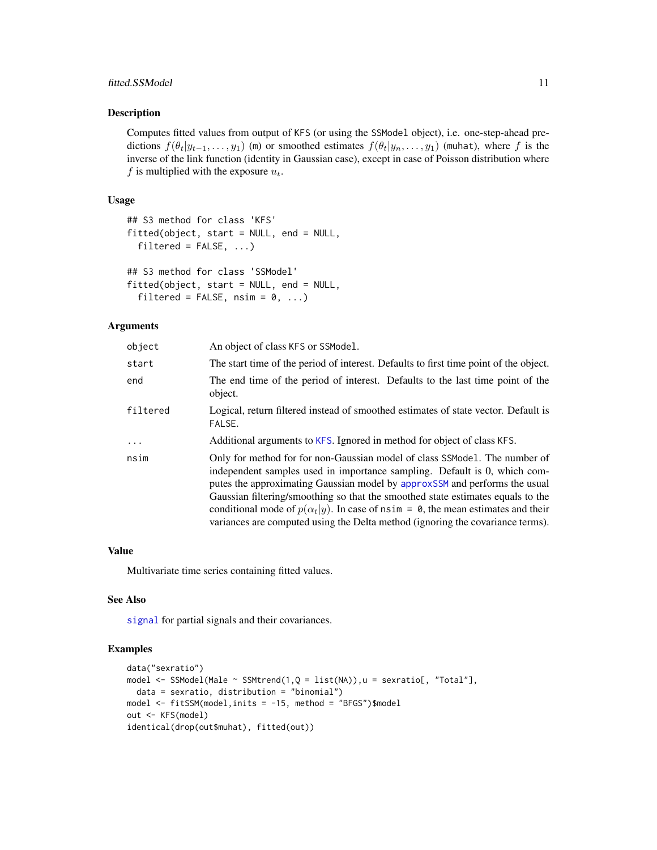# <span id="page-10-0"></span>fitted.SSModel 11

#### Description

Computes fitted values from output of KFS (or using the SSModel object), i.e. one-step-ahead predictions  $f(\theta_t|y_{t-1},..., y_1)$  (m) or smoothed estimates  $f(\theta_t|y_n,..., y_1)$  (muhat), where f is the inverse of the link function (identity in Gaussian case), except in case of Poisson distribution where f is multiplied with the exposure  $u_t$ .

### Usage

```
## S3 method for class 'KFS'
fitted(object, start = NULL, end = NULL,
  filtered = FALSE, ...## S3 method for class 'SSModel'
fitted(object, start = NULL, end = NULL,
```

```
filtered = FALSE, nsim = 0, ...
```
#### Arguments

| object   | An object of class KFS or SSModel.                                                                                                                                                                                                                                                                                                                                                                                                                                                                    |
|----------|-------------------------------------------------------------------------------------------------------------------------------------------------------------------------------------------------------------------------------------------------------------------------------------------------------------------------------------------------------------------------------------------------------------------------------------------------------------------------------------------------------|
| start    | The start time of the period of interest. Defaults to first time point of the object.                                                                                                                                                                                                                                                                                                                                                                                                                 |
| end      | The end time of the period of interest. Defaults to the last time point of the<br>object.                                                                                                                                                                                                                                                                                                                                                                                                             |
| filtered | Logical, return filtered instead of smoothed estimates of state vector. Default is<br>FALSE.                                                                                                                                                                                                                                                                                                                                                                                                          |
| $\ldots$ | Additional arguments to KFS. Ignored in method for object of class KFS.                                                                                                                                                                                                                                                                                                                                                                                                                               |
| nsim     | Only for method for for non-Gaussian model of class SSModel. The number of<br>independent samples used in importance sampling. Default is 0, which com-<br>putes the approximating Gaussian model by approxSSM and performs the usual<br>Gaussian filtering/smoothing so that the smoothed state estimates equals to the<br>conditional mode of $p(\alpha_t y)$ . In case of nsim = 0, the mean estimates and their<br>variances are computed using the Delta method (ignoring the covariance terms). |

# Value

Multivariate time series containing fitted values.

# See Also

[signal](#page-39-1) for partial signals and their covariances.

```
data("sexratio")
model <- SSModel(Male ~ SSMtrend(1,Q = list(NA)),u = sexratio[, "Total"],
  data = sexratio, distribution = "binomial")
model <- fitSSM(model,inits = -15, method = "BFGS")$model
out <- KFS(model)
identical(drop(out$muhat), fitted(out))
```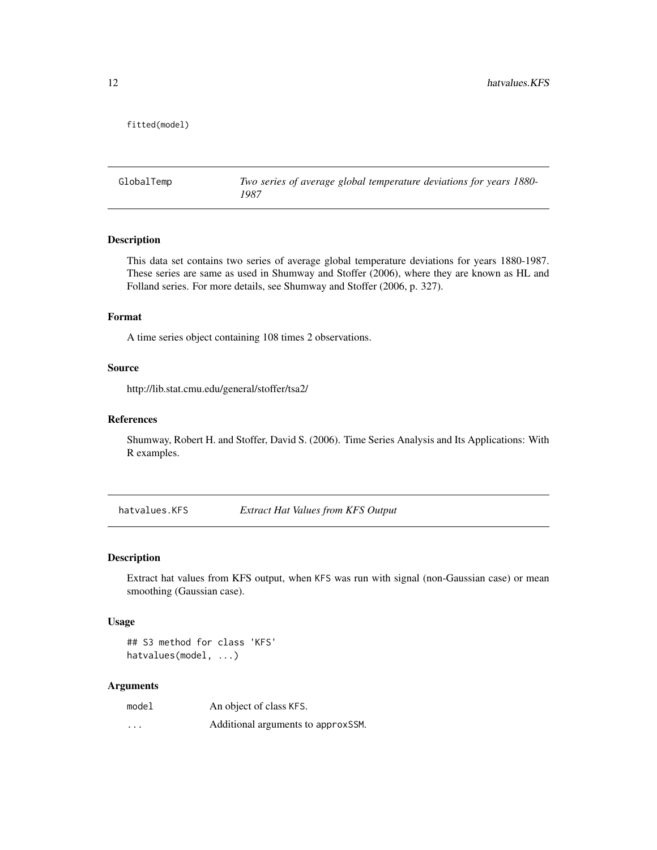<span id="page-11-0"></span>fitted(model)

GlobalTemp *Two series of average global temperature deviations for years 1880- 1987*

# Description

This data set contains two series of average global temperature deviations for years 1880-1987. These series are same as used in Shumway and Stoffer (2006), where they are known as HL and Folland series. For more details, see Shumway and Stoffer (2006, p. 327).

#### Format

A time series object containing 108 times 2 observations.

#### Source

http://lib.stat.cmu.edu/general/stoffer/tsa2/

# References

Shumway, Robert H. and Stoffer, David S. (2006). Time Series Analysis and Its Applications: With R examples.

hatvalues.KFS *Extract Hat Values from KFS Output*

#### Description

Extract hat values from KFS output, when KFS was run with signal (non-Gaussian case) or mean smoothing (Gaussian case).

# Usage

```
## S3 method for class 'KFS'
hatvalues(model, ...)
```
#### Arguments

| model   | An object of class KFS.             |
|---------|-------------------------------------|
| $\cdot$ | Additional arguments to approx SSM. |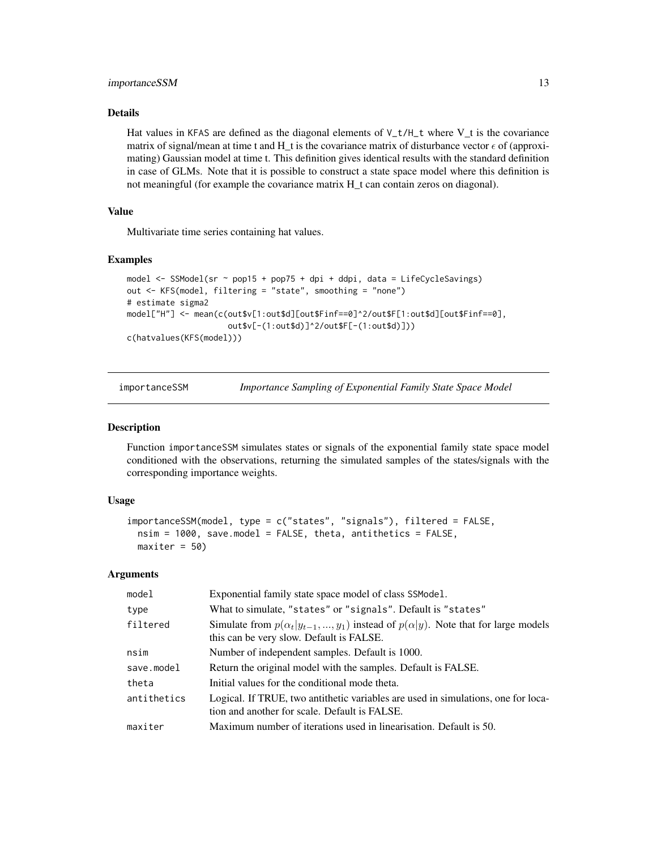# <span id="page-12-0"></span>importanceSSM 13

# Details

Hat values in KFAS are defined as the diagonal elements of  $V_t/H_t$  where  $V_t$  is the covariance matrix of signal/mean at time t and H\_t is the covariance matrix of disturbance vector  $\epsilon$  of (approximating) Gaussian model at time t. This definition gives identical results with the standard definition in case of GLMs. Note that it is possible to construct a state space model where this definition is not meaningful (for example the covariance matrix H t can contain zeros on diagonal).

# Value

Multivariate time series containing hat values.

#### Examples

```
model <- SSModel(sr ~ pop15 + pop75 + dpi + ddpi, data = LifeCycleSavings)
out <- KFS(model, filtering = "state", smoothing = "none")
# estimate sigma2
model["H"] <- mean(c(out$v[1:out$d][out$Finf==0]^2/out$F[1:out$d][out$Finf==0],
                     out$v[-(1:out$d)]^2/out$F[-(1:out$d)]))
c(hatvalues(KFS(model)))
```
<span id="page-12-1"></span>importanceSSM *Importance Sampling of Exponential Family State Space Model*

#### **Description**

Function importanceSSM simulates states or signals of the exponential family state space model conditioned with the observations, returning the simulated samples of the states/signals with the corresponding importance weights.

#### Usage

```
importanceSSM(model, type = c("states", "signals"), filtered = FALSE,
 nsim = 1000, save.model = FALSE, theta, antithetics = FALSE,
 maxiter = 50
```
#### Arguments

| model       | Exponential family state space model of class SSModel.                                                                                     |
|-------------|--------------------------------------------------------------------------------------------------------------------------------------------|
| type        | What to simulate, "states" or "signals". Default is "states"                                                                               |
| filtered    | Simulate from $p(\alpha_t y_{t-1},,y_1)$ instead of $p(\alpha y)$ . Note that for large models<br>this can be very slow. Default is FALSE. |
| nsim        | Number of independent samples. Default is 1000.                                                                                            |
| save.model  | Return the original model with the samples. Default is FALSE.                                                                              |
| theta       | Initial values for the conditional mode theta.                                                                                             |
| antithetics | Logical. If TRUE, two antithetic variables are used in simulations, one for loca-<br>tion and another for scale. Default is FALSE.         |
| maxiter     | Maximum number of iterations used in linearisation. Default is 50.                                                                         |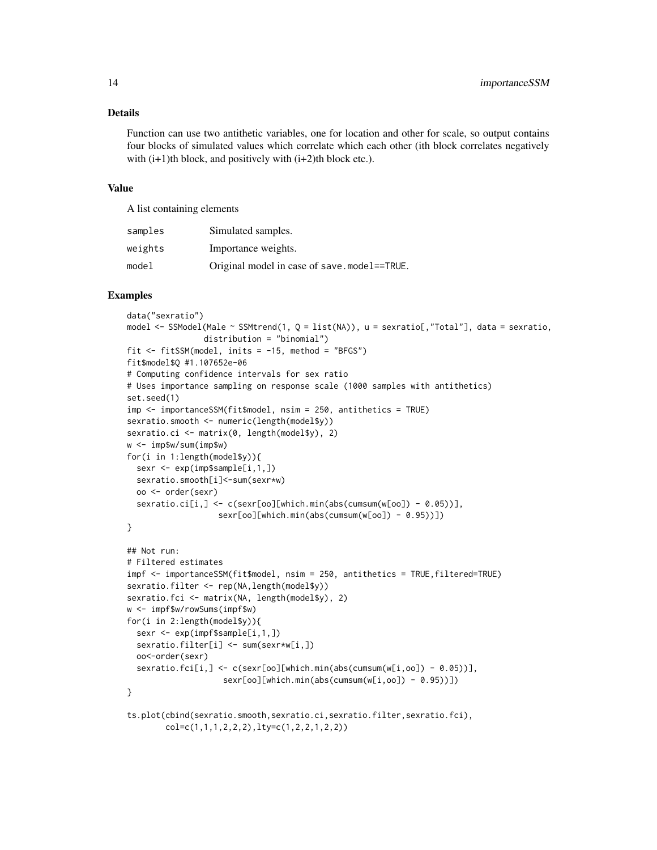#### Details

Function can use two antithetic variables, one for location and other for scale, so output contains four blocks of simulated values which correlate which each other (ith block correlates negatively with  $(i+1)$ th block, and positively with  $(i+2)$ th block etc.).

# Value

A list containing elements

| samples | Simulated samples.                          |
|---------|---------------------------------------------|
| weights | Importance weights.                         |
| model   | Original model in case of save.model==TRUE. |

```
data("sexratio")
model <- SSModel(Male ~ SSMtrend(1, Q = list(NA)), u = sexratio[,"Total"], data = sexratio,
                distribution = "binomial")
fit \le fitSSM(model, inits = -15, method = "BFGS")
fit$model$Q #1.107652e-06
# Computing confidence intervals for sex ratio
# Uses importance sampling on response scale (1000 samples with antithetics)
set.seed(1)
imp <- importanceSSM(fit$model, nsim = 250, antithetics = TRUE)
sexratio.smooth <- numeric(length(model$y))
sexratio.ci <- matrix(0, length(model$y), 2)
w <- imp$w/sum(imp$w)
for(i in 1:length(model$y)){
  sexr <- exp(imp$sample[i,1,])
  sexratio.smooth[i]<-sum(sexr*w)
  oo <- order(sexr)
  sexratio.ci[i,] <- c(sexr[oo][which.min(abs(cumsum(w[oo]) - 0.05))],
                   sexr[oo][which.min(abs(cumsum(w[oo]) - 0.95))])
}
## Not run:
# Filtered estimates
impf <- importanceSSM(fit$model, nsim = 250, antithetics = TRUE,filtered=TRUE)
sexratio.filter <- rep(NA,length(model$y))
sexratio.fci <- matrix(NA, length(model$y), 2)
w <- impf$w/rowSums(impf$w)
for(i in 2:length(model$y)){
  sexr <- exp(impf$sample[i,1,])
  sexratio.filter[i] <- sum(sexr*w[i,])
  oo<-order(sexr)
  sexratio.fci[i,] <- c(sexr[oo][which.min(abs(cumsum(w[i,oo]) - 0.05))],
                    sexr[oo][which.min(abs(cumsum(w[i,oo]) - 0.95))])
}
ts.plot(cbind(sexratio.smooth,sexratio.ci,sexratio.filter,sexratio.fci),
        col=c(1,1,1,2,2,2),lty=c(1,2,2,1,2,2))
```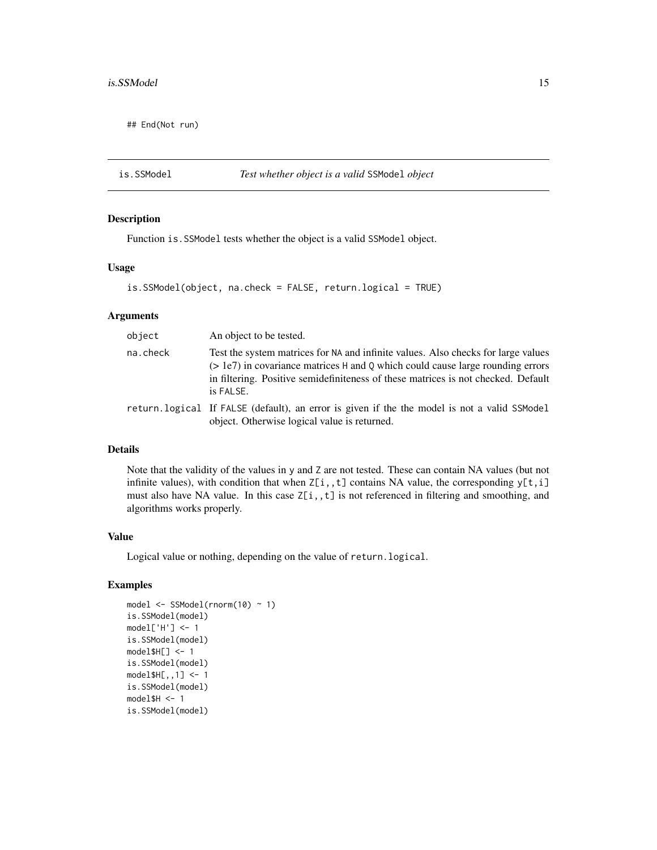<span id="page-14-0"></span>## End(Not run)

#### is.SSModel *Test whether object is a valid* SSModel *object*

# Description

Function is.SSModel tests whether the object is a valid SSModel object.

#### Usage

```
is.SSModel(object, na.check = FALSE, return.logical = TRUE)
```
#### Arguments

| object   | An object to be tested.                                                                                                                                                                                                                                                 |
|----------|-------------------------------------------------------------------------------------------------------------------------------------------------------------------------------------------------------------------------------------------------------------------------|
| na.check | Test the system matrices for NA and infinite values. Also checks for large values<br>$(> 1e7)$ in covariance matrices H and Q which could cause large rounding errors<br>in filtering. Positive semidefiniteness of these matrices is not checked. Default<br>is FALSE. |
|          | return. logical If FALSE (default), an error is given if the the model is not a valid SSModel<br>object. Otherwise logical value is returned.                                                                                                                           |

### Details

Note that the validity of the values in y and Z are not tested. These can contain NA values (but not infinite values), with condition that when  $Z[i, t]$  contains NA value, the corresponding  $y[t, i]$ must also have NA value. In this case  $Z[i, t]$  is not referenced in filtering and smoothing, and algorithms works properly.

# Value

Logical value or nothing, depending on the value of return.logical.

```
model <- SSModel(rnorm(10) ~ 1)
is.SSModel(model)
model['H'] <- 1
is.SSModel(model)
model$H[] < -1is.SSModel(model)
model$H[,,1] <- 1
is.SSModel(model)
model$H < -1is.SSModel(model)
```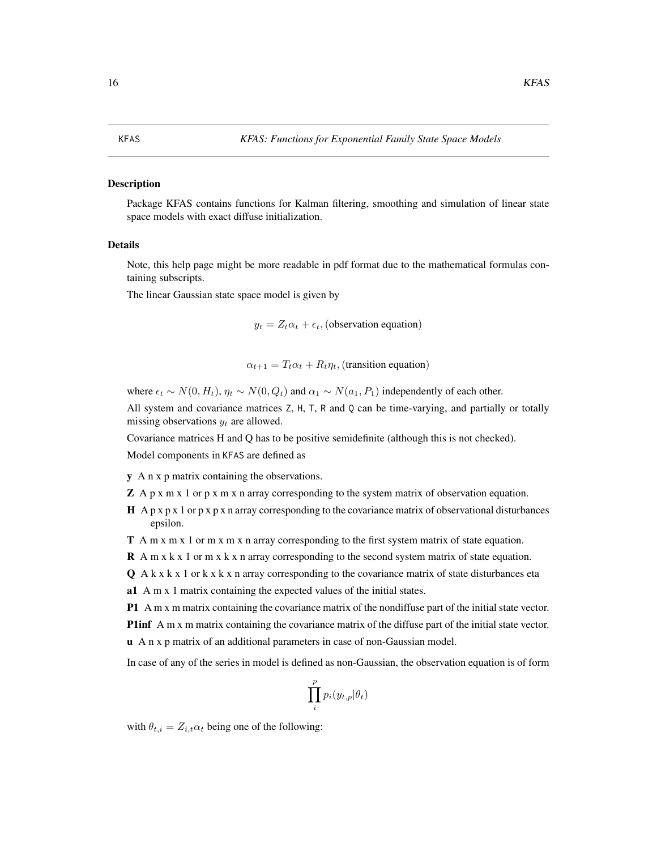#### <span id="page-15-1"></span><span id="page-15-0"></span>Description

Package KFAS contains functions for Kalman filtering, smoothing and simulation of linear state space models with exact diffuse initialization.

#### Details

Note, this help page might be more readable in pdf format due to the mathematical formulas containing subscripts.

The linear Gaussian state space model is given by

 $y_t = Z_t \alpha_t + \epsilon_t$ , (observation equation)

$$
\alpha_{t+1} = T_t \alpha_t + R_t \eta_t
$$
, (transition equation)

where  $\epsilon_t \sim N(0, H_t)$ ,  $\eta_t \sim N(0, Q_t)$  and  $\alpha_1 \sim N(a_1, P_1)$  independently of each other.

All system and covariance matrices Z, H, T, R and Q can be time-varying, and partially or totally missing observations  $y_t$  are allowed.

Covariance matrices H and Q has to be positive semidefinite (although this is not checked).

Model components in KFAS are defined as

y A n x p matrix containing the observations.

 $\mathbb Z$  A p x m x 1 or p x m x n array corresponding to the system matrix of observation equation.

 $H$  A p x p x 1 or p x p x n array corresponding to the covariance matrix of observational disturbances epsilon.

T A m x m x 1 or m x m x n array corresponding to the first system matrix of state equation.

 **A m x k x 1 or m x k x n array corresponding to the second system matrix of state equation.** 

 $Q$  A k x k x 1 or k x k x n array corresponding to the covariance matrix of state disturbances eta

a1 A m x 1 matrix containing the expected values of the initial states.

P1 A m x m matrix containing the covariance matrix of the nondiffuse part of the initial state vector.

P1inf A m x m matrix containing the covariance matrix of the diffuse part of the initial state vector.

u A n x p matrix of an additional parameters in case of non-Gaussian model.

In case of any of the series in model is defined as non-Gaussian, the observation equation is of form

$$
\prod_{i}^{p} p_i(y_{t,p}|\theta_t)
$$

with  $\theta_{t,i} = Z_{i,t} \alpha_t$  being one of the following: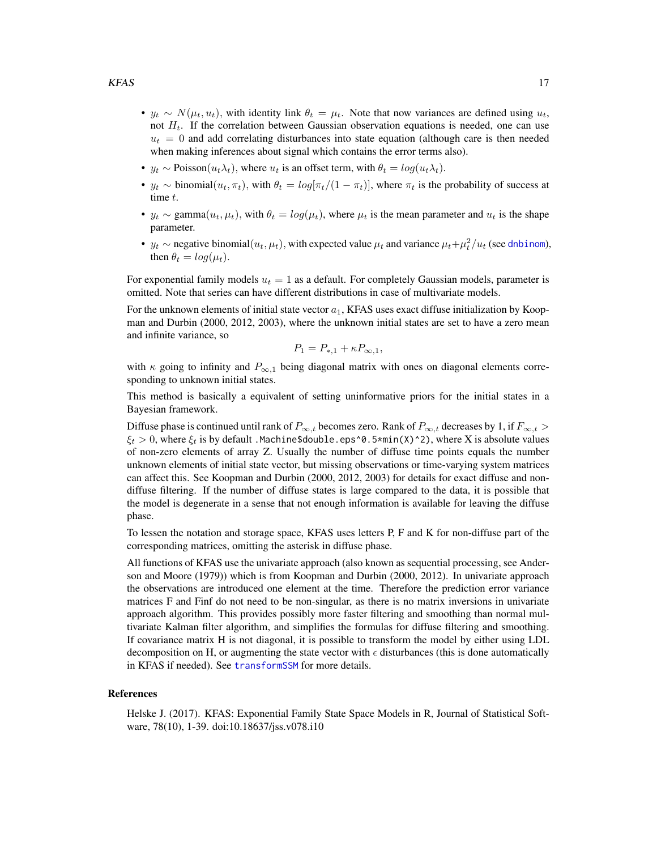- <span id="page-16-0"></span>•  $y_t \sim N(\mu_t, u_t)$ , with identity link  $\theta_t = \mu_t$ . Note that now variances are defined using  $u_t$ , not  $H_t$ . If the correlation between Gaussian observation equations is needed, one can use  $u_t = 0$  and add correlating disturbances into state equation (although care is then needed when making inferences about signal which contains the error terms also).
- $y_t \sim \text{Poisson}(u_t \lambda_t)$ , where  $u_t$  is an offset term, with  $\theta_t = \log(u_t \lambda_t)$ .
- $y_t \sim \text{binomial}(u_t, \pi_t)$ , with  $\theta_t = \log[\pi_t/(1 \pi_t)]$ , where  $\pi_t$  is the probability of success at time t.
- $y_t \sim \text{gamma}(u_t, \mu_t)$ , with  $\theta_t = \log(\mu_t)$ , where  $\mu_t$  is the mean parameter and  $u_t$  is the shape parameter.
- $y_t \sim$  negative binomial $(u_t, \mu_t)$ , with expected value  $\mu_t$  and variance  $\mu_t + \mu_t^2/u_t$  (see [dnbinom](#page-0-0)), then  $\theta_t = \log(\mu_t)$ .

For exponential family models  $u_t = 1$  as a default. For completely Gaussian models, parameter is omitted. Note that series can have different distributions in case of multivariate models.

For the unknown elements of initial state vector  $a_1$ , KFAS uses exact diffuse initialization by Koopman and Durbin (2000, 2012, 2003), where the unknown initial states are set to have a zero mean and infinite variance, so

$$
P_1 = P_{*,1} + \kappa P_{\infty,1},
$$

with  $\kappa$  going to infinity and  $P_{\infty,1}$  being diagonal matrix with ones on diagonal elements corresponding to unknown initial states.

This method is basically a equivalent of setting uninformative priors for the initial states in a Bayesian framework.

Diffuse phase is continued until rank of  $P_{\infty,t}$  becomes zero. Rank of  $P_{\infty,t}$  decreases by 1, if  $F_{\infty,t}$  >  $\xi_t > 0$ , where  $\xi_t$  is by default .Machine\$double.eps^0.5\*min(X)^2), where X is absolute values of non-zero elements of array Z. Usually the number of diffuse time points equals the number unknown elements of initial state vector, but missing observations or time-varying system matrices can affect this. See Koopman and Durbin (2000, 2012, 2003) for details for exact diffuse and nondiffuse filtering. If the number of diffuse states is large compared to the data, it is possible that the model is degenerate in a sense that not enough information is available for leaving the diffuse phase.

To lessen the notation and storage space, KFAS uses letters P, F and K for non-diffuse part of the corresponding matrices, omitting the asterisk in diffuse phase.

All functions of KFAS use the univariate approach (also known as sequential processing, see Anderson and Moore (1979)) which is from Koopman and Durbin (2000, 2012). In univariate approach the observations are introduced one element at the time. Therefore the prediction error variance matrices F and Finf do not need to be non-singular, as there is no matrix inversions in univariate approach algorithm. This provides possibly more faster filtering and smoothing than normal multivariate Kalman filter algorithm, and simplifies the formulas for diffuse filtering and smoothing. If covariance matrix H is not diagonal, it is possible to transform the model by either using LDL decomposition on H, or augmenting the state vector with  $\epsilon$  disturbances (this is done automatically in KFAS if needed). See [transformSSM](#page-47-1) for more details.

#### References

Helske J. (2017). KFAS: Exponential Family State Space Models in R, Journal of Statistical Software, 78(10), 1-39. doi:10.18637/jss.v078.i10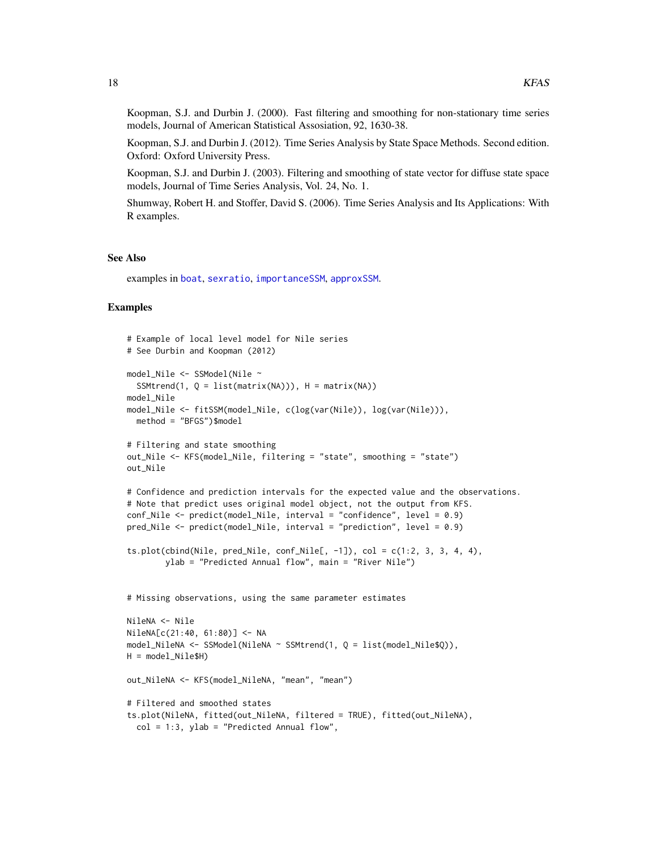<span id="page-17-0"></span>Koopman, S.J. and Durbin J. (2000). Fast filtering and smoothing for non-stationary time series models, Journal of American Statistical Assosiation, 92, 1630-38.

Koopman, S.J. and Durbin J. (2012). Time Series Analysis by State Space Methods. Second edition. Oxford: Oxford University Press.

Koopman, S.J. and Durbin J. (2003). Filtering and smoothing of state vector for diffuse state space models, Journal of Time Series Analysis, Vol. 24, No. 1.

Shumway, Robert H. and Stoffer, David S. (2006). Time Series Analysis and Its Applications: With R examples.

#### See Also

examples in [boat](#page-4-1), [sexratio](#page-38-1), [importanceSSM](#page-12-1), [approxSSM](#page-2-1).

```
# Example of local level model for Nile series
# See Durbin and Koopman (2012)
model_Nile <- SSModel(Nile ~
  SSMtrend(1, Q = list(matrix(NA))), H = matrix(NA))model_Nile
model_Nile <- fitSSM(model_Nile, c(log(var(Nile)), log(var(Nile))),
 method = "BFGS")$model
# Filtering and state smoothing
out_Nile <- KFS(model_Nile, filtering = "state", smoothing = "state")
out_Nile
# Confidence and prediction intervals for the expected value and the observations.
# Note that predict uses original model object, not the output from KFS.
conf_Nile <- predict(model_Nile, interval = "confidence", level = 0.9)
pred_Nile <- predict(model_Nile, interval = "prediction", level = 0.9)
ts.plot(cbind(Nile, pred_Nile, conf_Nile[, -1]), col = c(1:2, 3, 3, 4, 4),
        ylab = "Predicted Annual flow", main = "River Nile")
# Missing observations, using the same parameter estimates
NileNA <- Nile
NileNA[c(21:40, 61:80)] <- NA
model_NileNA <- SSModel(NileNA ~ SSMtrend(1, Q = list(model_Nile$Q)),
H = model_Nile$H)
out_NileNA <- KFS(model_NileNA, "mean", "mean")
# Filtered and smoothed states
ts.plot(NileNA, fitted(out_NileNA, filtered = TRUE), fitted(out_NileNA),
  col = 1:3, ylab = "Predicted Annual flow",
```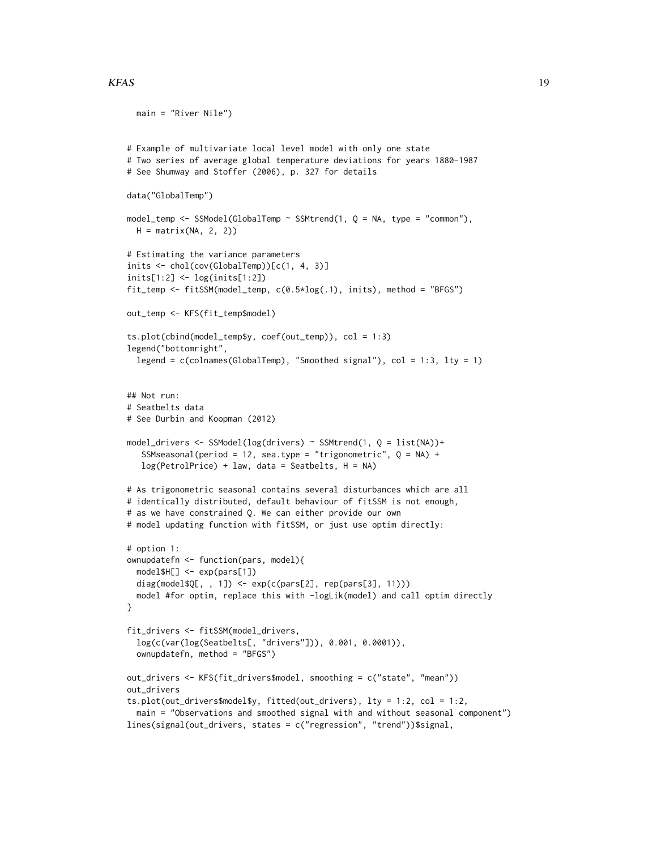#### $KFAS$  19

```
main = "River Nile")
# Example of multivariate local level model with only one state
# Two series of average global temperature deviations for years 1880-1987
# See Shumway and Stoffer (2006), p. 327 for details
data("GlobalTemp")
model_temp <- SSModel(GlobalTemp ~ SSMtrend(1, Q = NA, type = "common"),
  H = matrix(NA, 2, 2))# Estimating the variance parameters
inits <- chol(cov(GlobalTemp))[c(1, 4, 3)]
inits[1:2] <- log(inits[1:2])
fit_temp <- fitSSM(model_temp, c(0.5*log(.1), inits), method = "BFGS")
out_temp <- KFS(fit_temp$model)
ts.plot(cbind(model_temp$y, coef(out_temp)), col = 1:3)
legend("bottomright",
  legend = c(colnames(GlobalTemp), "Smoothed signal"), col = 1:3, lty = 1)
## Not run:
# Seatbelts data
# See Durbin and Koopman (2012)
model_drivers <- SSModel(log(drivers) ~ SSMtrend(1, Q = list(NA))+
   SSMseasonal(period = 12, sea.type = "trigonometric", Q = NA) +
   log(PetrolPrice) + law, data = Seatbelts, H = NA)
# As trigonometric seasonal contains several disturbances which are all
# identically distributed, default behaviour of fitSSM is not enough,
# as we have constrained Q. We can either provide our own
# model updating function with fitSSM, or just use optim directly:
# option 1:
ownupdatefn <- function(pars, model){
  model$H[] <- exp(pars[1])
  diag(model$Q[, , 1]) <- exp(c(pars[2], rep(pars[3], 11)))
  model #for optim, replace this with -logLik(model) and call optim directly
}
fit_drivers <- fitSSM(model_drivers,
  log(c(var(log(Seatbelts[, "drivers"])), 0.001, 0.0001)),
  ownupdatefn, method = "BFGS")
out_drivers <- KFS(fit_drivers$model, smoothing = c("state", "mean"))
out_drivers
ts.plot(out_drivers$model$y, fitted(out_drivers), lty = 1:2, col = 1:2,
  main = "Observations and smoothed signal with and without seasonal component")
lines(signal(out_drivers, states = c("regression", "trend"))$signal,
```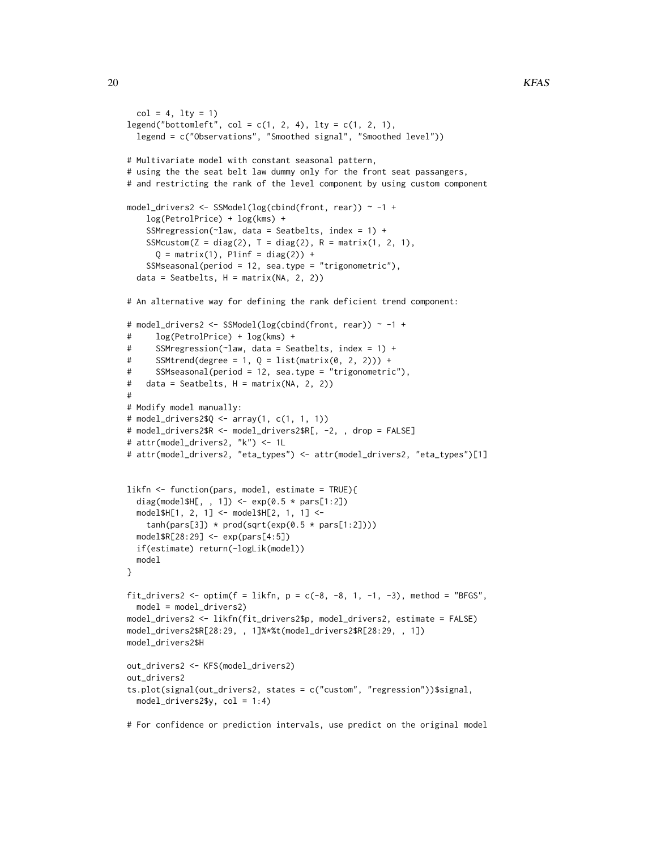```
col = 4, lty = 1legend("bottomleft", col = c(1, 2, 4), lty = c(1, 2, 1),
  legend = c("Observations", "Smoothed signal", "Smoothed level"))
# Multivariate model with constant seasonal pattern,
# using the the seat belt law dummy only for the front seat passangers,
# and restricting the rank of the level component by using custom component
model_drivers2 <- SSModel(log(cbind(front, rear)) ~ -1 +
    log(PetrolPrice) + log(kms) +
    SSMregression(\text{claw}, data = Seatbelts, index = 1) +
    SSMcustom(Z = diag(2), T = diag(2), R = matrix(1, 2, 1),
      Q = matrix(1), Plinf = diag(2)) +
    SSMseasonal(period = 12, sea.type = "trigonometric"),
  data = Seatbelts, H = matrix(NA, 2, 2))# An alternative way for defining the rank deficient trend component:
# model_drivers2 <- SSModel(log(cbind(front, rear)) ~ -1 +
# log(PetrolPrice) + log(kms) +
# SSMregression(~law, data = Seatbelts, index = 1) +
# SSMtrend(degree = 1, Q = list(matrix(0, 2, 2)) +
# SSMseasonal(period = 12, sea.type = "trigonometric"),
# data = Seatbelts, H = matrix(NA, 2, 2))
#
# Modify model manually:
# model_drivers2$Q <- array(1, c(1, 1, 1))
# model_drivers2$R <- model_drivers2$R[, -2, , drop = FALSE]
# attr(model_drivers2, "k") <- 1L
# attr(model_drivers2, "eta_types") <- attr(model_drivers2, "eta_types")[1]
likfn <- function(pars, model, estimate = TRUE){
  diag(model$H[, , 1]) <- exp(0.5 * parse[1:2])model$H[1, 2, 1] <- model$H[2, 1, 1] <-
    tanh(pars[3]) * prod(sqrt(exp(0.5 * pars[1:2])))model$R[28:29] <- exp(pars[4:5])
  if(estimate) return(-logLik(model))
  model
}
fit_drivers2 <- optim(f = likfn, p = c(-8, -8, 1, -1, -3), method = "BFGS",
  model = model_drivers2)
model_drivers2 <- likfn(fit_drivers2$p, model_drivers2, estimate = FALSE)
model_drivers2$R[28:29, , 1]%*%t(model_drivers2$R[28:29, , 1])
model_drivers2$H
out_drivers2 <- KFS(model_drivers2)
out_drivers2
ts.plot(signal(out_drivers2, states = c("custom", "regression"))$signal,
  model_drivers2$y, col = 1:4)
# For confidence or prediction intervals, use predict on the original model
```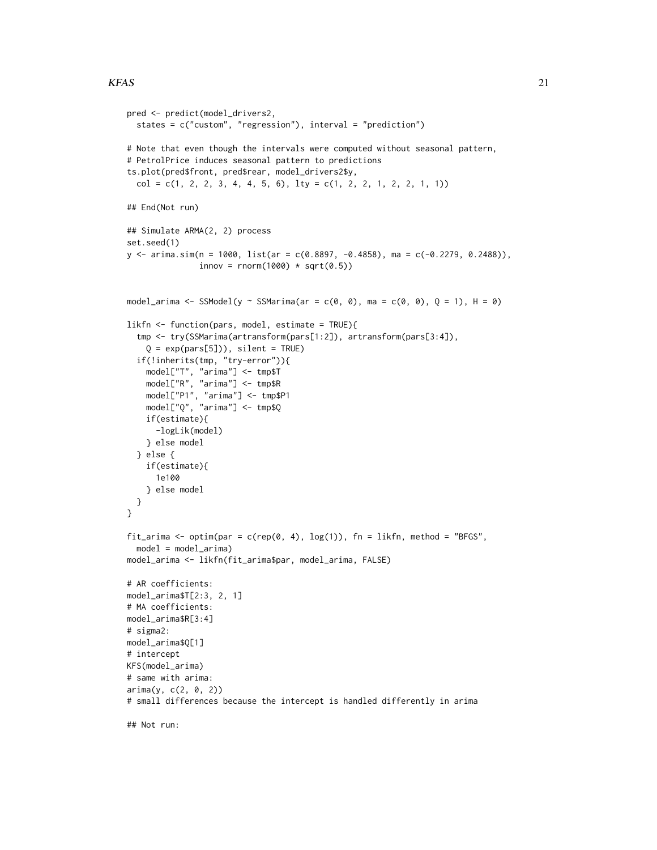```
pred <- predict(model_drivers2,
  states = c("custom", "regression"), interval = "prediction")
# Note that even though the intervals were computed without seasonal pattern,
# PetrolPrice induces seasonal pattern to predictions
ts.plot(pred$front, pred$rear, model_drivers2$y,
  col = c(1, 2, 2, 3, 4, 4, 5, 6), lty = c(1, 2, 2, 1, 2, 2, 1, 1)## End(Not run)
## Simulate ARMA(2, 2) process
set.seed(1)
y \leq -\arima \cdot \sin(n = 1000, 1ist(ar = c(0.8897, -0.4858), ma = c(-0.2279, 0.2488)),innov = rnorm(1000) * sqrt(0.5))model_arima <- SSModel(y ~ SSMarima(ar = c(0, 0), ma = c(0, 0), Q = 1), H = 0)
likfn <- function(pars, model, estimate = TRUE){
  tmp <- try(SSMarima(artransform(pars[1:2]), artransform(pars[3:4]),
    Q = exp(pars[5])), silent = TRUE)
  if(!inherits(tmp, "try-error")){
    model["T", "arima"] <- tmp$T
    model["R", "arima"] <- tmp$R
    model["P1", "arima"] <- tmp$P1
    model["Q", "arima"] <- tmp$Q
    if(estimate){
     -logLik(model)
    } else model
  } else {
   if(estimate){
      1e100
    } else model
  }
}
fit_arima <- optim(par = c(rep(\theta, 4), log(1)), fn = likfn, method = "BFGS",
  model = model_arima)
model_arima <- likfn(fit_arima$par, model_arima, FALSE)
# AR coefficients:
model_arima$T[2:3, 2, 1]
# MA coefficients:
model_arima$R[3:4]
# sigma2:
model_arima$Q[1]
# intercept
KFS(model_arima)
# same with arima:
arima(y, c(2, 0, 2))
# small differences because the intercept is handled differently in arima
```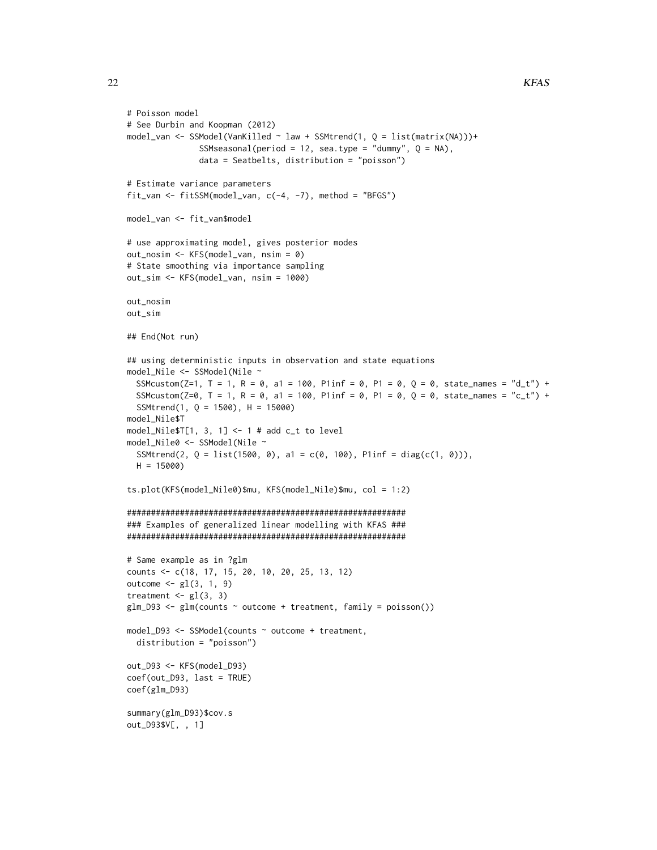```
# Poisson model
# See Durbin and Koopman (2012)
model_van <- SSModel(VanKilled ~ law + SSMtrend(1, Q = list(matrix(NA)))+
               SSMseasonal(period = 12, sea.type = "dummy", Q = NA),
               data = Seatbelts, distribution = "poisson")
# Estimate variance parameters
fit_van <- fitSSM(model_van, c(-4, -7), method = "BFGS")
model_van <- fit_van$model
# use approximating model, gives posterior modes
out_nosim <- KFS(model_van, nsim = 0)
# State smoothing via importance sampling
out_sim <- KFS(model_van, nsim = 1000)
out_nosim
out_sim
## End(Not run)
## using deterministic inputs in observation and state equations
model_Nile <- SSModel(Nile ~
  SSMcustom(Z=1, T = 1, R = 0, a1 = 100, Plinf = 0, P1 = 0, Q = 0, state_names = "d_t") +
  SSMcustom(Z=0, T = 1, R = 0, a1 = 100, P1inf = 0, P1 = 0, Q = 0, state_names = "c_t") +
  SSMtrend(1, Q = 1500), H = 15000)
model_Nile$T
model_Nile$T[1, 3, 1] <- 1 # add c_t to level
model_Nile0 <- SSModel(Nile ~
  SSMtrend(2, Q = list(1500, 0), a1 = c(0, 100), P1inf = diag(c(1, 0))),
  H = 15000ts.plot(KFS(model_Nile0)$mu, KFS(model_Nile)$mu, col = 1:2)
##########################################################
### Examples of generalized linear modelling with KFAS ###
##########################################################
# Same example as in ?glm
counts <- c(18, 17, 15, 20, 10, 20, 25, 13, 12)
outcome \leq gl(3, 1, 9)
treatment \leq gl(3, 3)
glm_D93 \leq glm(counts \sim outcome + treatment, family = poisson())model_D93 <- SSModel(counts ~ outcome + treatment,
  distribution = "poisson")
out_D93 <- KFS(model_D93)
coef(out_D93, last = TRUE)
coef(glm_D93)
summary(glm_D93)$cov.s
out_D93$V[, , 1]
```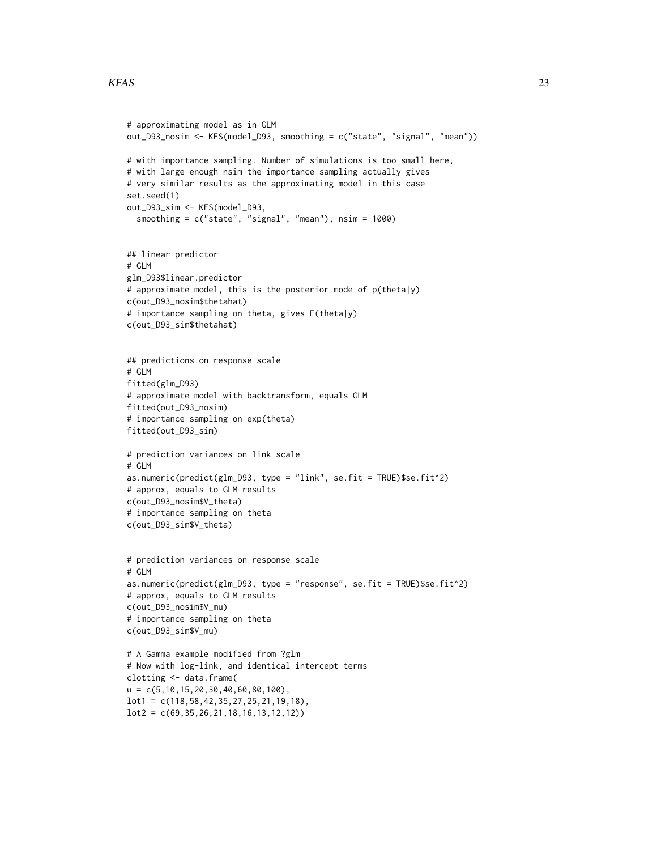#### $KFAS$  23

```
# approximating model as in GLM
out_D93_nosim <- KFS(model_D93, smoothing = c("state", "signal", "mean"))
# with importance sampling. Number of simulations is too small here,
# with large enough nsim the importance sampling actually gives
# very similar results as the approximating model in this case
set.seed(1)
out_D93_sim <- KFS(model_D93,
  smoothing = c("state", "signal", "mean"), nsim = 1000)
## linear predictor
# GLM
glm_D93$linear.predictor
# approximate model, this is the posterior mode of p(theta|y)
c(out_D93_nosim$thetahat)
# importance sampling on theta, gives E(theta|y)
c(out_D93_sim$thetahat)
## predictions on response scale
# GLM
fitted(glm_D93)
# approximate model with backtransform, equals GLM
fitted(out_D93_nosim)
# importance sampling on exp(theta)
fitted(out_D93_sim)
# prediction variances on link scale
# GLM
as.numeric(predict(glm_D93, type = "link", se.fit = TRUE)$se.fit^2)
# approx, equals to GLM results
c(out_D93_nosim$V_theta)
# importance sampling on theta
c(out_D93_sim$V_theta)
# prediction variances on response scale
# GLM
as.numeric(predict(glm_D93, type = "response", se.fit = TRUE)$se.fit^2)
# approx, equals to GLM results
c(out_D93_nosim$V_mu)
# importance sampling on theta
c(out_D93_sim$V_mu)
# A Gamma example modified from ?glm
# Now with log-link, and identical intercept terms
clotting <- data.frame(
u = c(5,10,15,20,30,40,60,80,100),
lot1 = c(118,58,42,35,27,25,21,19,18),
lot2 = c(69,35,26,21,18,16,13,12,12))
```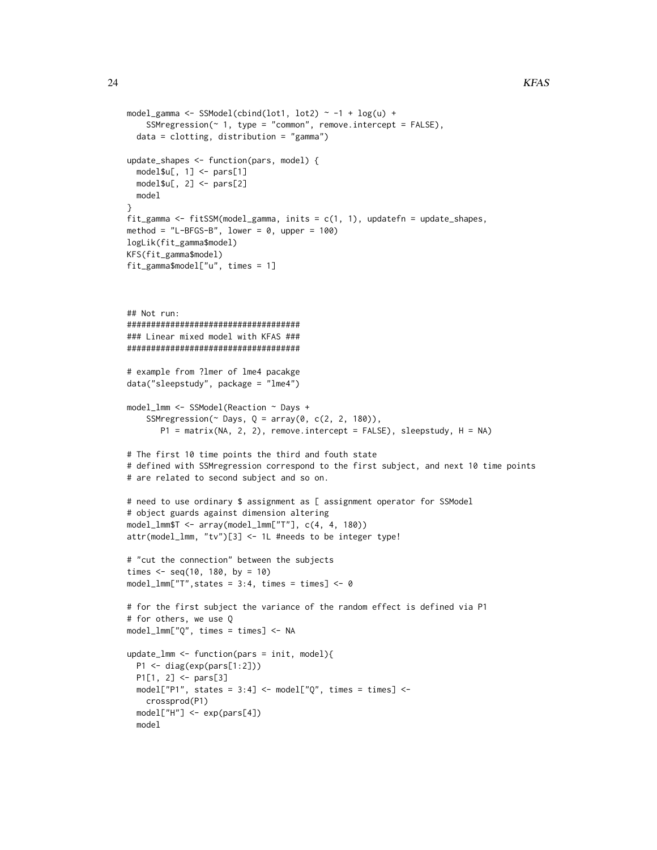```
model_gamma <- SSModel(cbind(lot1, lot2) ~ -1 + \log(u) +SSMregression(\sim 1, type = "common", remove.intercept = FALSE),
  data = clotting, distribution = "gamma")
update_shapes <- function(pars, model) {
  model$u[, 1] <- pars[1]
  model$u[, 2] < -</math> <math>parse[2]</math>model
}
fit_gamma <- fitSSM(model_gamma, inits = c(1, 1), updatefn = update_shapes,
method = "L-BFGS-B", lower = 0, upper = 100)
logLik(fit_gamma$model)
KFS(fit_gamma$model)
fit_gamma$model["u", times = 1]
## Not run:
####################################
### Linear mixed model with KFAS ###
####################################
# example from ?lmer of lme4 pacakge
data("sleepstudy", package = "lme4")
model_lmm <- SSModel(Reaction ~ Days +
    SSMregression(\sim Days, Q = array(0, c(2, 2, 180)),
       P1 = matrix(NA, 2, 2), remove.intercept = FALSE), sleepstudy, H = NA)
# The first 10 time points the third and fouth state
# defined with SSMregression correspond to the first subject, and next 10 time points
# are related to second subject and so on.
# need to use ordinary $ assignment as [ assignment operator for SSModel
# object guards against dimension altering
model_lmm$T <- array(model_lmm["T"], c(4, 4, 180))
attr(model_lmm, "tv")[3] <- 1L #needs to be integer type!
# "cut the connection" between the subjects
times \leq seq(10, 180, by = 10)
model_lmm["T", states = 3:4, times = times] < -0# for the first subject the variance of the random effect is defined via P1
# for others, we use Q
model_lmm["Q", times = times] <- NA
update_lmm <- function(pars = init, model){
  P1 <- diag(exp(pars[1:2]))
  P1[1, 2] <- pars[3]
  model['P1", states = 3:4] < - model['Q", times = times] < -crossprod(P1)
  model["H"] <- exp(pars[4])
  model
```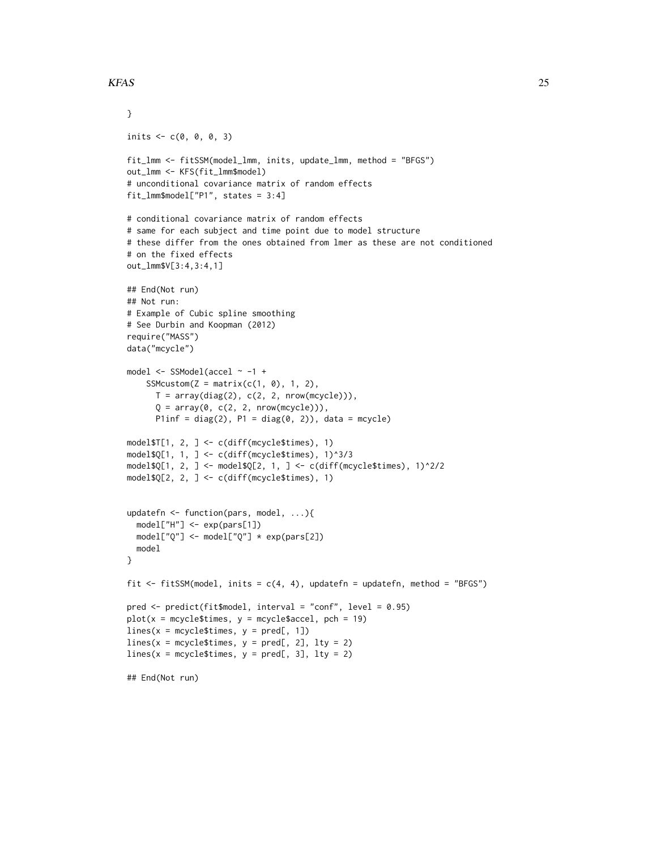#### $KFAS$  25

```
}
inits <- c(0, 0, 0, 3)
fit_lmm <- fitSSM(model_lmm, inits, update_lmm, method = "BFGS")
out_lmm <- KFS(fit_lmm$model)
# unconditional covariance matrix of random effects
fit_lmm$model["P1", states = 3:4]
# conditional covariance matrix of random effects
# same for each subject and time point due to model structure
# these differ from the ones obtained from lmer as these are not conditioned
# on the fixed effects
out_lmm$V[3:4,3:4,1]
## End(Not run)
## Not run:
# Example of Cubic spline smoothing
# See Durbin and Koopman (2012)
require("MASS")
data("mcycle")
model <- SSModel(accel ~ -1 +
    SSMcustom(Z = matrix(c(1, 0), 1, 2),
     T = array(diag(2), c(2, 2, nrow(mcycle))),Q = array(0, c(2, 2, nrow(mcycle))),Plinf = diag(2), P1 = diag(0, 2)), data = mcycle)
model$T[1, 2, ] <- c(diff(mcycle$times), 1)
model$Q[1, 1, ] <- c(diff(mcycle$times), 1)^3/3
model$Q[1, 2, ] <- model$Q[2, 1, ] <- c(diff(mcycle$times), 1)^2/2
model$Q[2, 2, ] <- c(diff(mcycle$times), 1)
updatefn <- function(pars, model, ...){
  model["H"] <- exp(pars[1])
  model["Q"] <- model["Q"] * exp(pars[2])
  model
}
fit \le fitSSM(model, inits = c(4, 4), updatefn = updatefn, method = "BFGS")
pred <- predict(fit$model, interval = "conf", level = 0.95)
plot(x = mcycle$times, y = mcycle$accel, pch = 19)lines(x = mgcle$times, y = pred[, 1])lines(x = mcycle$times, y = pred[, 2], lty = 2)lines(x = mcycle$times, y = pred[, 3], lty = 2)## End(Not run)
```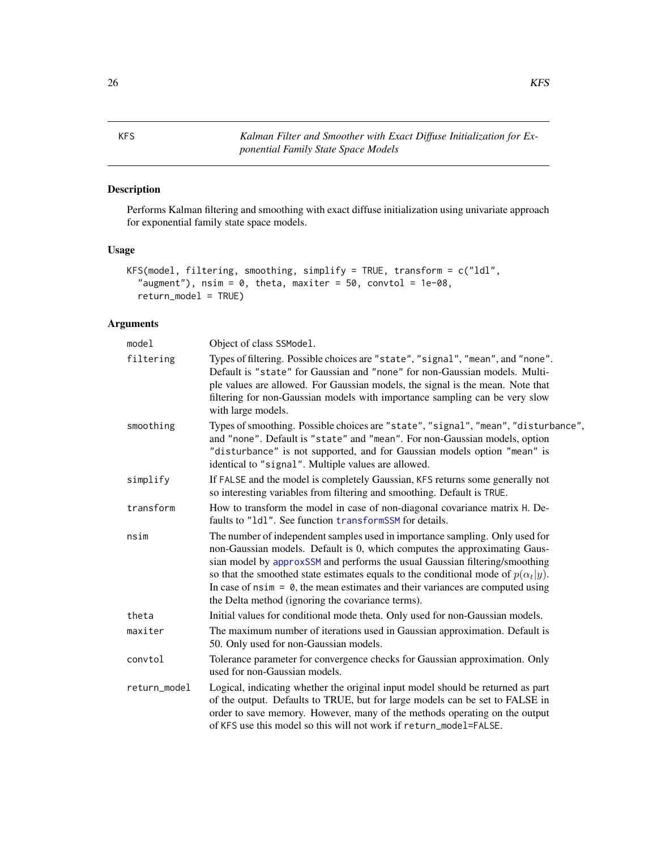<span id="page-25-1"></span><span id="page-25-0"></span>KFS *Kalman Filter and Smoother with Exact Diffuse Initialization for Exponential Family State Space Models*

# Description

Performs Kalman filtering and smoothing with exact diffuse initialization using univariate approach for exponential family state space models.

# Usage

```
KFS(model, filtering, smoothing, simplify = TRUE, transform = c("ldl",
  "augment"), nsim = 0, theta, maxiter = 50, convtol = 1e-08,
  return_model = TRUE)
```
# Arguments

| model        | Object of class SSModel.                                                                                                                                                                                                                                                                                                                                                                                                                                                       |
|--------------|--------------------------------------------------------------------------------------------------------------------------------------------------------------------------------------------------------------------------------------------------------------------------------------------------------------------------------------------------------------------------------------------------------------------------------------------------------------------------------|
| filtering    | Types of filtering. Possible choices are "state", "signal", "mean", and "none".<br>Default is "state" for Gaussian and "none" for non-Gaussian models. Multi-<br>ple values are allowed. For Gaussian models, the signal is the mean. Note that<br>filtering for non-Gaussian models with importance sampling can be very slow<br>with large models.                                                                                                                           |
| smoothing    | Types of smoothing. Possible choices are "state", "signal", "mean", "disturbance",<br>and "none". Default is "state" and "mean". For non-Gaussian models, option<br>"disturbance" is not supported, and for Gaussian models option "mean" is<br>identical to "signal". Multiple values are allowed.                                                                                                                                                                            |
| simplify     | If FALSE and the model is completely Gaussian, KFS returns some generally not<br>so interesting variables from filtering and smoothing. Default is TRUE.                                                                                                                                                                                                                                                                                                                       |
| transform    | How to transform the model in case of non-diagonal covariance matrix H. De-<br>faults to "1d1". See function transformSSM for details.                                                                                                                                                                                                                                                                                                                                         |
| nsim         | The number of independent samples used in importance sampling. Only used for<br>non-Gaussian models. Default is 0, which computes the approximating Gaus-<br>sian model by approxSSM and performs the usual Gaussian filtering/smoothing<br>so that the smoothed state estimates equals to the conditional mode of $p(\alpha_t y)$ .<br>In case of $nsim = 0$ , the mean estimates and their variances are computed using<br>the Delta method (ignoring the covariance terms). |
| theta        | Initial values for conditional mode theta. Only used for non-Gaussian models.                                                                                                                                                                                                                                                                                                                                                                                                  |
| maxiter      | The maximum number of iterations used in Gaussian approximation. Default is<br>50. Only used for non-Gaussian models.                                                                                                                                                                                                                                                                                                                                                          |
| convtol      | Tolerance parameter for convergence checks for Gaussian approximation. Only<br>used for non-Gaussian models.                                                                                                                                                                                                                                                                                                                                                                   |
| return_model | Logical, indicating whether the original input model should be returned as part<br>of the output. Defaults to TRUE, but for large models can be set to FALSE in<br>order to save memory. However, many of the methods operating on the output<br>of KFS use this model so this will not work if return_model=FALSE.                                                                                                                                                            |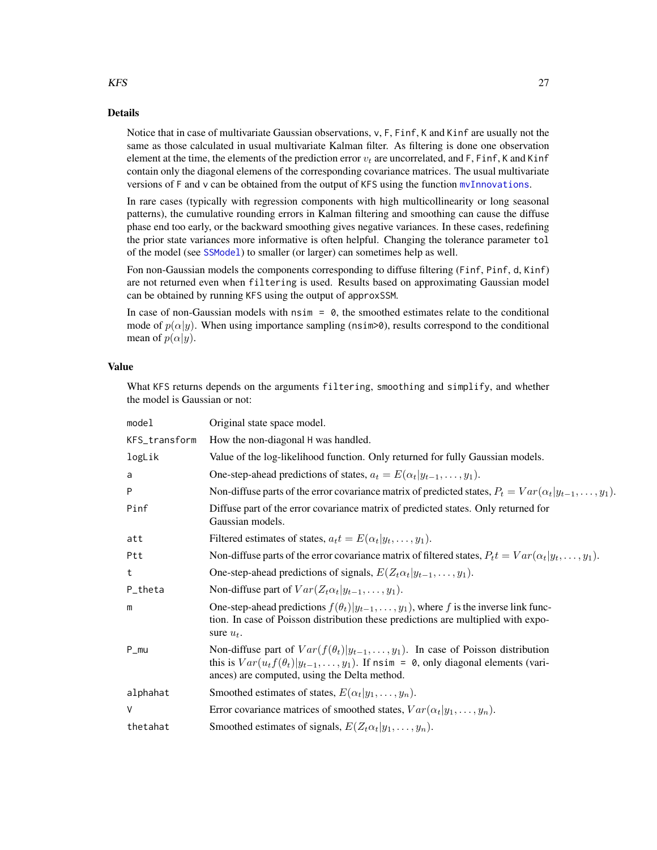## Details

Notice that in case of multivariate Gaussian observations, v, F, Finf, K and Kinf are usually not the same as those calculated in usual multivariate Kalman filter. As filtering is done one observation element at the time, the elements of the prediction error  $v_t$  are uncorrelated, and F, Finf, K and Kinf contain only the diagonal elemens of the corresponding covariance matrices. The usual multivariate versions of F and v can be obtained from the output of KFS using the function [mvInnovations](#page-31-1).

In rare cases (typically with regression components with high multicollinearity or long seasonal patterns), the cumulative rounding errors in Kalman filtering and smoothing can cause the diffuse phase end too early, or the backward smoothing gives negative variances. In these cases, redefining the prior state variances more informative is often helpful. Changing the tolerance parameter tol of the model (see [SSModel](#page-43-1)) to smaller (or larger) can sometimes help as well.

Fon non-Gaussian models the components corresponding to diffuse filtering (Finf, Pinf, d, Kinf) are not returned even when filtering is used. Results based on approximating Gaussian model can be obtained by running KFS using the output of approxSSM.

In case of non-Gaussian models with  $nsim = 0$ , the smoothed estimates relate to the conditional mode of  $p(\alpha|y)$ . When using importance sampling (nsim>0), results correspond to the conditional mean of  $p(\alpha|y)$ .

# Value

What KFS returns depends on the arguments filtering, smoothing and simplify, and whether the model is Gaussian or not:

| model         | Original state space model.                                                                                                                                                                                                         |
|---------------|-------------------------------------------------------------------------------------------------------------------------------------------------------------------------------------------------------------------------------------|
| KFS_transform | How the non-diagonal H was handled.                                                                                                                                                                                                 |
| logLik        | Value of the log-likelihood function. Only returned for fully Gaussian models.                                                                                                                                                      |
| a             | One-step-ahead predictions of states, $a_t = E(\alpha_t   y_{t-1}, \dots, y_1)$ .                                                                                                                                                   |
| P             | Non-diffuse parts of the error covariance matrix of predicted states, $P_t = Var(\alpha_t   y_{t-1}, \dots, y_1)$ .                                                                                                                 |
| Pinf          | Diffuse part of the error covariance matrix of predicted states. Only returned for<br>Gaussian models.                                                                                                                              |
| att           | Filtered estimates of states, $a_t t = E(\alpha_t   y_t, \dots, y_1)$ .                                                                                                                                                             |
| Ptt           | Non-diffuse parts of the error covariance matrix of filtered states, $P_t t = Var(\alpha_t   y_t, \dots, y_1)$ .                                                                                                                    |
| t             | One-step-ahead predictions of signals, $E(Z_t \alpha_t   y_{t-1}, \dots, y_1)$ .                                                                                                                                                    |
| P_theta       | Non-diffuse part of $Var(Z_t \alpha_t   y_{t-1}, \dots, y_1)$ .                                                                                                                                                                     |
| m             | One-step-ahead predictions $f(\theta_t) y_{t-1}, \dots, y_1$ , where f is the inverse link func-<br>tion. In case of Poisson distribution these predictions are multiplied with expo-<br>sure $u_t$ .                               |
| $P_{mu}$      | Non-diffuse part of $Var(f(\theta_t) y_{t-1},, y_1)$ . In case of Poisson distribution<br>this is $Var(u_t f(\theta_t) y_{t-1},, y_1)$ . If nsim = 0, only diagonal elements (vari-<br>ances) are computed, using the Delta method. |
| alphahat      | Smoothed estimates of states, $E(\alpha_t y_1,\ldots,y_n)$ .                                                                                                                                                                        |
| ٧             | Error covariance matrices of smoothed states, $Var(\alpha_t y_1,\ldots,y_n)$ .                                                                                                                                                      |
| thetahat      | Smoothed estimates of signals, $E(Z_t \alpha_t   y_1, \ldots, y_n)$ .                                                                                                                                                               |

### <span id="page-26-0"></span> $KFS$  27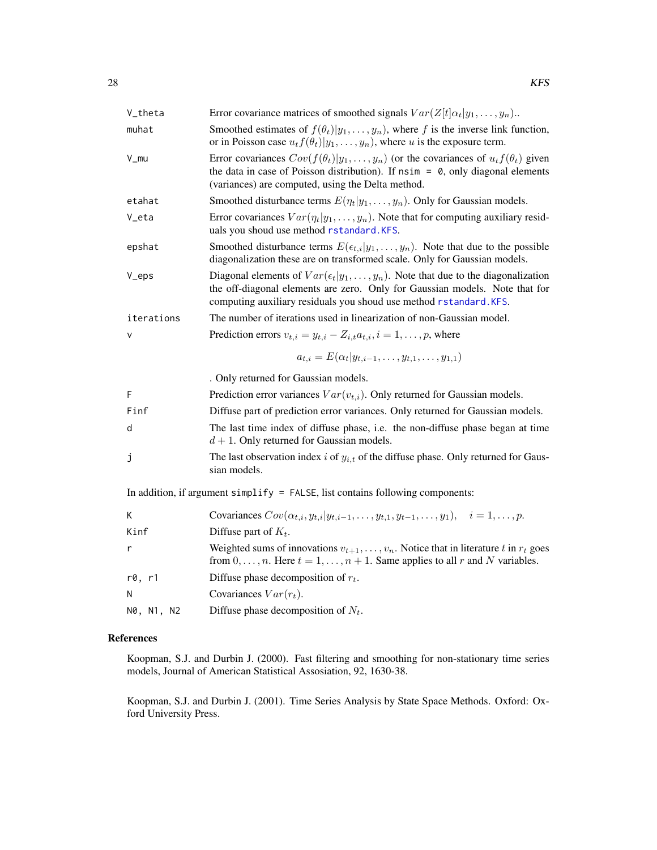<span id="page-27-0"></span>

| V_theta    | Error covariance matrices of smoothed signals $Var(Z[t]\alpha_t y_1,\ldots,y_n)$ .                                                                                                                                                                    |
|------------|-------------------------------------------------------------------------------------------------------------------------------------------------------------------------------------------------------------------------------------------------------|
| muhat      | Smoothed estimates of $f(\theta_t) y_1,\ldots,y_n$ , where f is the inverse link function,<br>or in Poisson case $u_t f(\theta_t)   y_1, \dots, y_n$ , where u is the exposure term.                                                                  |
| V_mu       | Error covariances $Cov(f(\theta_t) y_1,\ldots,y_n)$ (or the covariances of $u_t f(\theta_t)$ given<br>the data in case of Poisson distribution). If $nsim = 0$ , only diagonal elements<br>(variances) are computed, using the Delta method.          |
| etahat     | Smoothed disturbance terms $E(\eta_t y_1,\ldots,y_n)$ . Only for Gaussian models.                                                                                                                                                                     |
| V_eta      | Error covariances $Var(\eta_t y_1,\ldots,y_n)$ . Note that for computing auxiliary resid-<br>uals you shoud use method rstandard. KFS.                                                                                                                |
| epshat     | Smoothed disturbance terms $E(\epsilon_{t,i} y_1,\ldots,y_n)$ . Note that due to the possible<br>diagonalization these are on transformed scale. Only for Gaussian models.                                                                            |
| V_eps      | Diagonal elements of $Var(\epsilon_t   y_1, \ldots, y_n)$ . Note that due to the diagonalization<br>the off-diagonal elements are zero. Only for Gaussian models. Note that for<br>computing auxiliary residuals you shoud use method rstandard. KFS. |
| iterations | The number of iterations used in linearization of non-Gaussian model.                                                                                                                                                                                 |
| $\vee$     | Prediction errors $v_{t,i} = y_{t,i} - Z_{i,t} a_{t,i}, i = 1, \ldots, p$ , where                                                                                                                                                                     |
|            | $a_{t,i} = E(\alpha_t   y_{t,i-1}, \ldots, y_{t,1}, \ldots, y_{1,1})$                                                                                                                                                                                 |
|            | . Only returned for Gaussian models.                                                                                                                                                                                                                  |
| F          | Prediction error variances $Var(v_{t,i})$ . Only returned for Gaussian models.                                                                                                                                                                        |
| Finf       | Diffuse part of prediction error variances. Only returned for Gaussian models.                                                                                                                                                                        |
| d          | The last time index of diffuse phase, i.e. the non-diffuse phase began at time<br>$d+1$ . Only returned for Gaussian models.                                                                                                                          |
| j          | The last observation index i of $y_{i,t}$ of the diffuse phase. Only returned for Gaus-<br>sian models.                                                                                                                                               |
|            | In addition, if argument simplify = $FALSE$ , list contains following components:                                                                                                                                                                     |
| K.         | Covariances $Cov(\alpha_{t,i}, y_{t,i} y_{t,i-1}, \dots, y_{t,1}, y_{t-1}, \dots, y_1), \quad i = 1, \dots, p.$                                                                                                                                       |
| Kinf       | Diffuse part of $K_t$ .                                                                                                                                                                                                                               |
| r          | Weighted sums of innovations $v_{t+1}, \ldots, v_n$ . Notice that in literature t in $r_t$ goes<br>from $0, \ldots, n$ . Here $t = 1, \ldots, n + 1$ . Same applies to all r and N variables.                                                         |
| r0, r1     | Diffuse phase decomposition of $r_t$ .                                                                                                                                                                                                                |
| N          | Covariances $Var(r_t)$ .                                                                                                                                                                                                                              |
| N0, N1, N2 | Diffuse phase decomposition of $N_t$ .                                                                                                                                                                                                                |

# References

Koopman, S.J. and Durbin J. (2000). Fast filtering and smoothing for non-stationary time series models, Journal of American Statistical Assosiation, 92, 1630-38.

Koopman, S.J. and Durbin J. (2001). Time Series Analysis by State Space Methods. Oxford: Oxford University Press.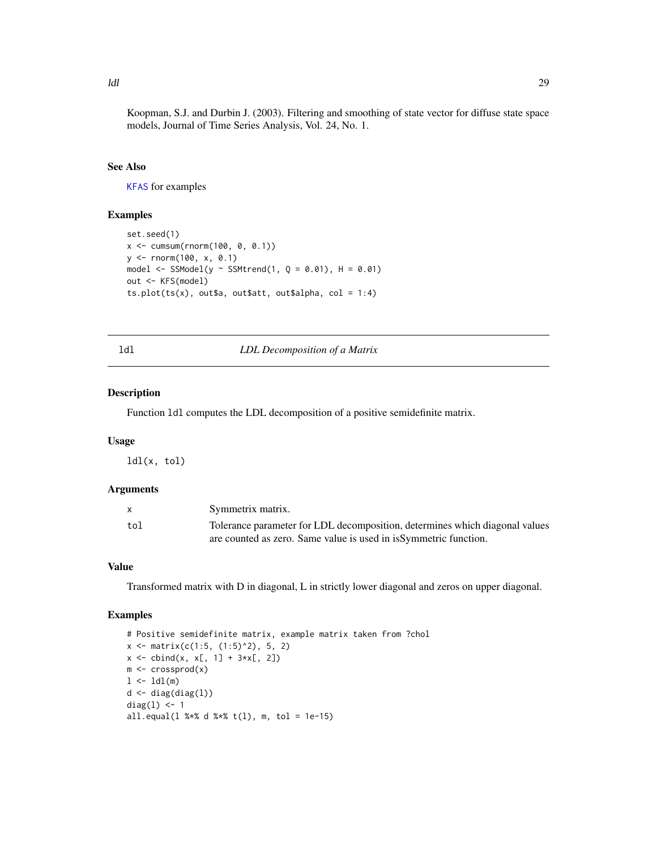<span id="page-28-0"></span>Koopman, S.J. and Durbin J. (2003). Filtering and smoothing of state vector for diffuse state space models, Journal of Time Series Analysis, Vol. 24, No. 1.

# See Also

[KFAS](#page-15-1) for examples

#### Examples

```
set.seed(1)
x <- cumsum(rnorm(100, 0, 0.1))
y <- rnorm(100, x, 0.1)
model <- SSModel(y ~ SSMtrend(1, Q = 0.01), H = 0.01)
out <- KFS(model)
ts.plot(ts(x), out$a, out$att, out$alpha, col = 1:4)
```
ldl *LDL Decomposition of a Matrix*

# Description

Function ldl computes the LDL decomposition of a positive semidefinite matrix.

#### Usage

ldl(x, tol)

# Arguments

|     | Symmetrix matrix.                                                           |
|-----|-----------------------------------------------------------------------------|
| tol | Tolerance parameter for LDL decomposition, determines which diagonal values |
|     | are counted as zero. Same value is used in is Symmetric function.           |

# Value

Transformed matrix with D in diagonal, L in strictly lower diagonal and zeros on upper diagonal.

```
# Positive semidefinite matrix, example matrix taken from ?chol
x \leftarrow \text{matrix}(c(1:5, (1:5)^2), 5, 2)x \le - \text{cbind}(x, x[, 1] + 3*x[, 2])m <- crossprod(x)
1 \leftarrow \text{ldl}(\mathsf{m})d \leftarrow diag(diag(1))diag(1) <- 1
all.equal(l %*% d %*% t(1), m, tol = 1e-15)
```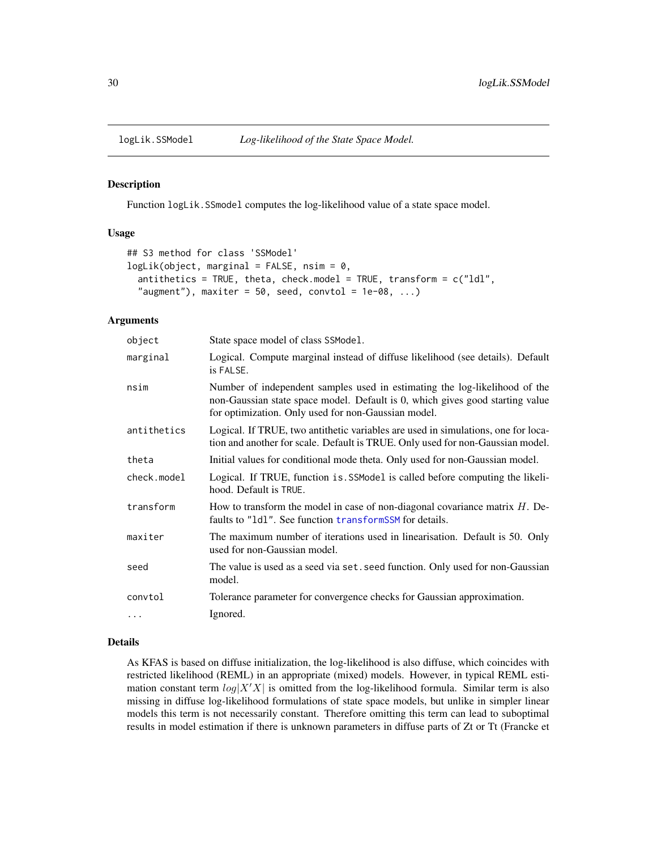<span id="page-29-0"></span>

#### <span id="page-29-1"></span>Description

Function logLik.SSmodel computes the log-likelihood value of a state space model.

#### Usage

```
## S3 method for class 'SSModel'
logLik(object, marginal = FALSE, nsim = 0,
  antithetics = TRUE, theta, check.model = TRUE, transform = c("1d1","augment"), maxiter = 50, seed, convtol = 1e-08, \ldots)
```
#### Arguments

| object      | State space model of class SSModel.                                                                                                                                                                                |
|-------------|--------------------------------------------------------------------------------------------------------------------------------------------------------------------------------------------------------------------|
| marginal    | Logical. Compute marginal instead of diffuse likelihood (see details). Default<br>is FALSE.                                                                                                                        |
| nsim        | Number of independent samples used in estimating the log-likelihood of the<br>non-Gaussian state space model. Default is 0, which gives good starting value<br>for optimization. Only used for non-Gaussian model. |
| antithetics | Logical. If TRUE, two antithetic variables are used in simulations, one for loca-<br>tion and another for scale. Default is TRUE. Only used for non-Gaussian model.                                                |
| theta       | Initial values for conditional mode theta. Only used for non-Gaussian model.                                                                                                                                       |
| check.model | Logical. If TRUE, function is SSModel is called before computing the likeli-<br>hood. Default is TRUE.                                                                                                             |
| transform   | How to transform the model in case of non-diagonal covariance matrix $H$ . De-<br>faults to "1d1". See function transformSSM for details.                                                                          |
| maxiter     | The maximum number of iterations used in linearisation. Default is 50. Only<br>used for non-Gaussian model.                                                                                                        |
| seed        | The value is used as a seed via set. seed function. Only used for non-Gaussian<br>model.                                                                                                                           |
| convtol     | Tolerance parameter for convergence checks for Gaussian approximation.                                                                                                                                             |
| $\cdots$    | Ignored.                                                                                                                                                                                                           |

#### Details

As KFAS is based on diffuse initialization, the log-likelihood is also diffuse, which coincides with restricted likelihood (REML) in an appropriate (mixed) models. However, in typical REML estimation constant term  $log|X'X|$  is omitted from the log-likelihood formula. Similar term is also missing in diffuse log-likelihood formulations of state space models, but unlike in simpler linear models this term is not necessarily constant. Therefore omitting this term can lead to suboptimal results in model estimation if there is unknown parameters in diffuse parts of Zt or Tt (Francke et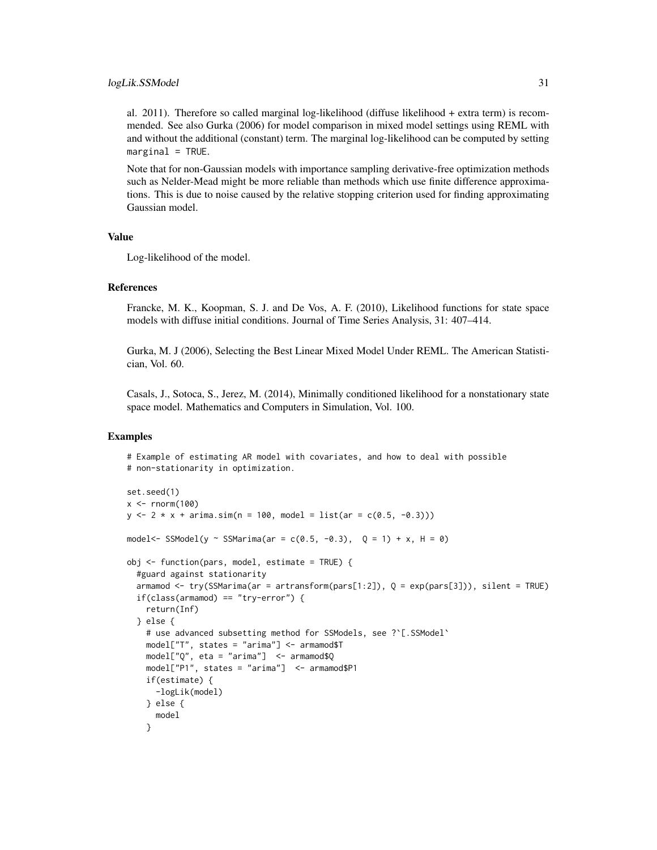al. 2011). Therefore so called marginal log-likelihood (diffuse likelihood + extra term) is recommended. See also Gurka (2006) for model comparison in mixed model settings using REML with and without the additional (constant) term. The marginal log-likelihood can be computed by setting  $marginal = TRUE$ .

Note that for non-Gaussian models with importance sampling derivative-free optimization methods such as Nelder-Mead might be more reliable than methods which use finite difference approximations. This is due to noise caused by the relative stopping criterion used for finding approximating Gaussian model.

#### Value

Log-likelihood of the model.

#### References

Francke, M. K., Koopman, S. J. and De Vos, A. F. (2010), Likelihood functions for state space models with diffuse initial conditions. Journal of Time Series Analysis, 31: 407–414.

Gurka, M. J (2006), Selecting the Best Linear Mixed Model Under REML. The American Statistician, Vol. 60.

Casals, J., Sotoca, S., Jerez, M. (2014), Minimally conditioned likelihood for a nonstationary state space model. Mathematics and Computers in Simulation, Vol. 100.

```
# Example of estimating AR model with covariates, and how to deal with possible
# non-stationarity in optimization.
```

```
set.seed(1)
x < - rnorm(100)y \le -2 \times x + \text{arima.sim}(n = 100, \text{ model} = \text{list}(ar = c(0.5, -0.3)))model <- SSModel(y ~ SSMarima(ar = c(0.5, -0.3), 0 = 1) + x, H = 0)
obj <- function(pars, model, estimate = TRUE) {
 #guard against stationarity
 armamod <- try(SSMarima(ar = artransform(pars[1:2]), Q = exp(pars[3])), silent = TRUE)
 if(class(armamod) == "try-error") {
    return(Inf)
 } else {
    # use advanced subsetting method for SSModels, see ?`[.SSModel`
    model["T", states = "arima"] <- armamod$T
    model['Q'', etca = "arima"] < - armamod$Q
    model["P1", states = "arima"] <- armamod$P1
    if(estimate) {
      -logLik(model)
    } else {
      model
    }
```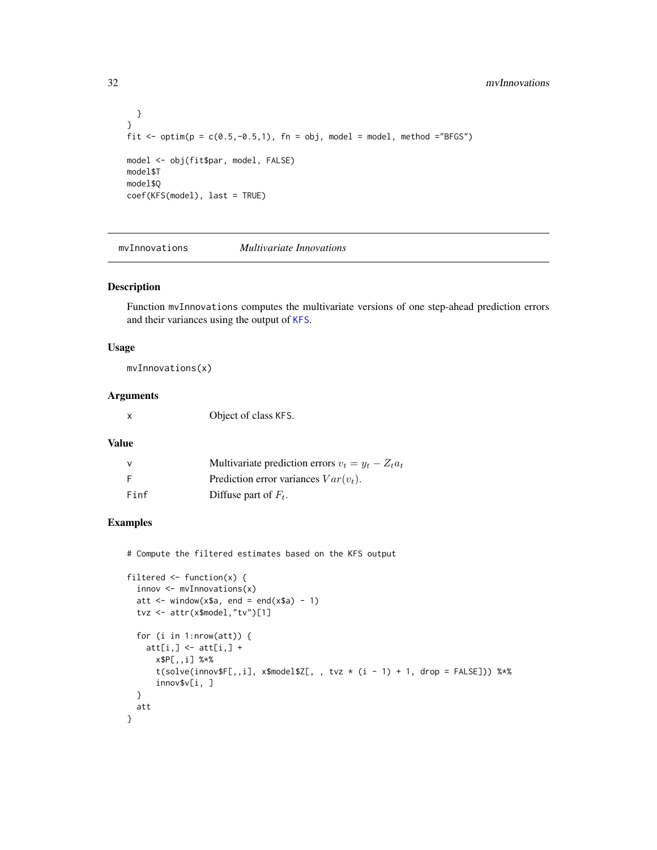```
}
}
fit \le optim(p = c(0.5,-0.5,1), fn = obj, model = model, method ="BFGS")
model <- obj(fit$par, model, FALSE)
model$T
model$Q
coef(KFS(model), last = TRUE)
```
<span id="page-31-1"></span>mvInnovations *Multivariate Innovations*

#### Description

Function mvInnovations computes the multivariate versions of one step-ahead prediction errors and their variances using the output of [KFS](#page-25-1).

# Usage

mvInnovations(x)

# Arguments

x Object of class KFS.

# Value

| v    | Multivariate prediction errors $v_t = y_t - Z_t a_t$ |
|------|------------------------------------------------------|
| F    | Prediction error variances $Var(v_t)$ .              |
| Finf | Diffuse part of $F_t$ .                              |

#### Examples

# Compute the filtered estimates based on the KFS output

```
filtered <- function(x) {
  innov <- mvInnovations(x)
  att \le window(x$a, end = end(x$a) - 1)
  tvz <- attr(x$model,"tv")[1]
  for (i in 1:nrow(att)) {
    att[i, ] \leftarrow att[i, ] +x$P[,,i] %*%
      t({\rm solve}(innov \$F[,, i], x\$ model \$Z[, , tvz * (i - 1) + 1, drop = FALSE])) %*%
      innov$v[i, ]
  }
  att
}
```
<span id="page-31-0"></span>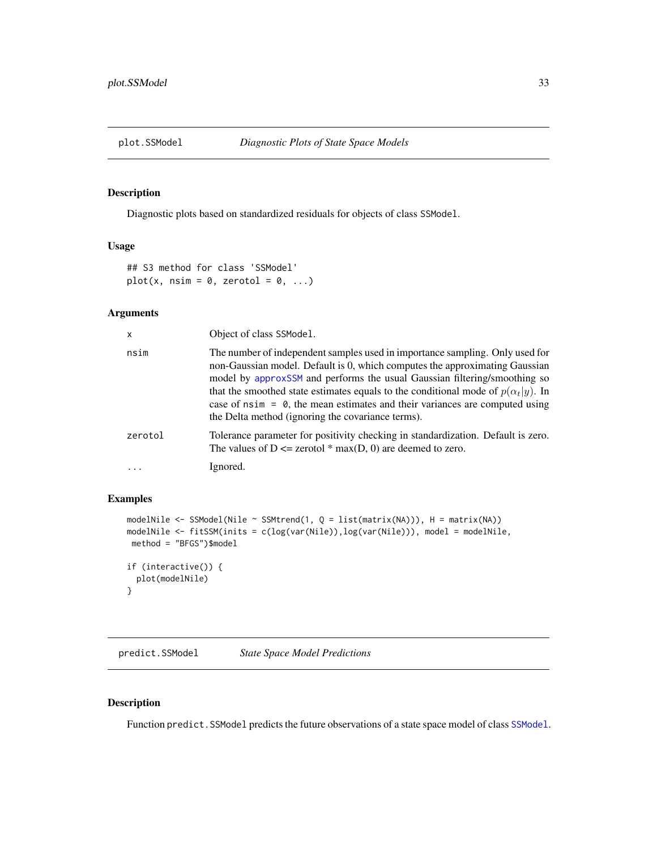<span id="page-32-0"></span>

# Description

Diagnostic plots based on standardized residuals for objects of class SSModel.

#### Usage

```
## S3 method for class 'SSModel'
plot(x, nsim = 0, zerotol = 0, ...)
```
# Arguments

| X       | Object of class SSModel.                                                                                                                                                                                                                                                                                                                                                                                                                                                    |
|---------|-----------------------------------------------------------------------------------------------------------------------------------------------------------------------------------------------------------------------------------------------------------------------------------------------------------------------------------------------------------------------------------------------------------------------------------------------------------------------------|
| nsim    | The number of independent samples used in importance sampling. Only used for<br>non-Gaussian model. Default is 0, which computes the approximating Gaussian<br>model by approxSSM and performs the usual Gaussian filtering/smoothing so<br>that the smoothed state estimates equals to the conditional mode of $p(\alpha_t y)$ . In<br>case of $nsim = 0$ , the mean estimates and their variances are computed using<br>the Delta method (ignoring the covariance terms). |
| zerotol | Tolerance parameter for positivity checking in standardization. Default is zero.<br>The values of $D \le$ zerotol * max(D, 0) are deemed to zero.                                                                                                                                                                                                                                                                                                                           |
|         | Ignored.                                                                                                                                                                                                                                                                                                                                                                                                                                                                    |

#### Examples

```
modelNile <- SSModel(Nile ~ SSMtrend(1, Q = list(matrix(NA))), H = matrix(NA))
modelNile <- fitSSM(inits = c(log(var(Nile)),log(var(Nile))), model = modelNile,
method = "BFGS")$model
if (interactive()) {
  plot(modelNile)
}
```
predict.SSModel *State Space Model Predictions*

# Description

Function predict.SSModel predicts the future observations of a state space model of class [SSModel](#page-43-1).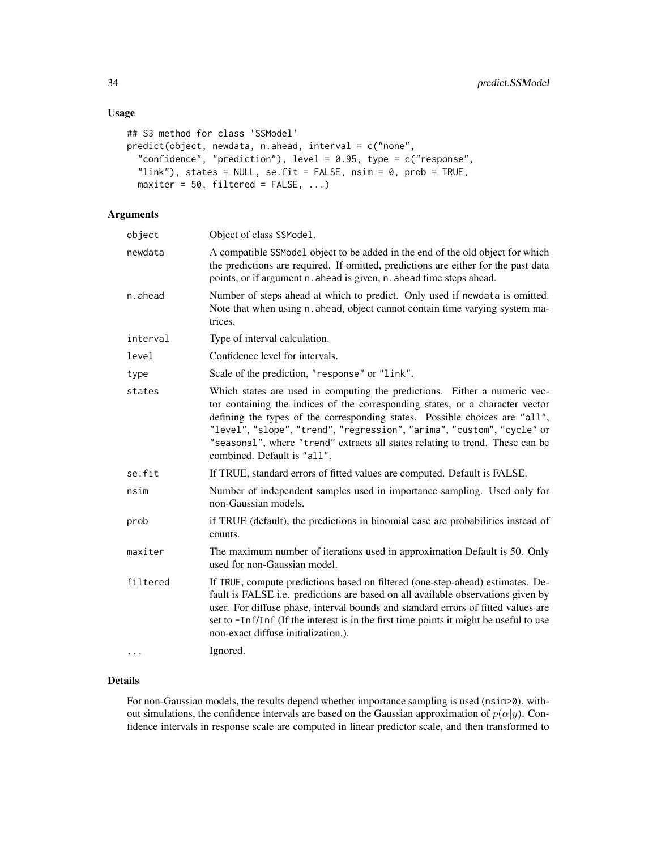# Usage

```
## S3 method for class 'SSModel'
predict(object, newdata, n.ahead, interval = c("none",
  "confidence", "prediction"), level = 0.95, type = c("response",
  "link"), states = NULL, se.fit = FALSE, nsim = 0, prob = TRUE,
 maxiter = 50, filtered = FALSE, ...)
```
# Arguments

| object   | Object of class SSModel.                                                                                                                                                                                                                                                                                                                                                                                                            |
|----------|-------------------------------------------------------------------------------------------------------------------------------------------------------------------------------------------------------------------------------------------------------------------------------------------------------------------------------------------------------------------------------------------------------------------------------------|
| newdata  | A compatible SSModel object to be added in the end of the old object for which<br>the predictions are required. If omitted, predictions are either for the past data<br>points, or if argument n. ahead is given, n. ahead time steps ahead.                                                                                                                                                                                        |
| n.ahead  | Number of steps ahead at which to predict. Only used if newdata is omitted.<br>Note that when using n. ahead, object cannot contain time varying system ma-<br>trices.                                                                                                                                                                                                                                                              |
| interval | Type of interval calculation.                                                                                                                                                                                                                                                                                                                                                                                                       |
| level    | Confidence level for intervals.                                                                                                                                                                                                                                                                                                                                                                                                     |
| type     | Scale of the prediction, "response" or "link".                                                                                                                                                                                                                                                                                                                                                                                      |
| states   | Which states are used in computing the predictions. Either a numeric vec-<br>tor containing the indices of the corresponding states, or a character vector<br>defining the types of the corresponding states. Possible choices are "all",<br>"level", "slope", "trend", "regression", "arima", "custom", "cycle" or<br>"seasonal", where "trend" extracts all states relating to trend. These can be<br>combined. Default is "all". |
| se.fit   | If TRUE, standard errors of fitted values are computed. Default is FALSE.                                                                                                                                                                                                                                                                                                                                                           |
| nsim     | Number of independent samples used in importance sampling. Used only for<br>non-Gaussian models.                                                                                                                                                                                                                                                                                                                                    |
| prob     | if TRUE (default), the predictions in binomial case are probabilities instead of<br>counts.                                                                                                                                                                                                                                                                                                                                         |
| maxiter  | The maximum number of iterations used in approximation Default is 50. Only<br>used for non-Gaussian model.                                                                                                                                                                                                                                                                                                                          |
| filtered | If TRUE, compute predictions based on filtered (one-step-ahead) estimates. De-<br>fault is FALSE i.e. predictions are based on all available observations given by<br>user. For diffuse phase, interval bounds and standard errors of fitted values are<br>set to -Inf/Inf (If the interest is in the first time points it might be useful to use<br>non-exact diffuse initialization.).                                            |
|          | Ignored.                                                                                                                                                                                                                                                                                                                                                                                                                            |

# Details

For non-Gaussian models, the results depend whether importance sampling is used (nsim>0). without simulations, the confidence intervals are based on the Gaussian approximation of  $p(\alpha|y)$ . Confidence intervals in response scale are computed in linear predictor scale, and then transformed to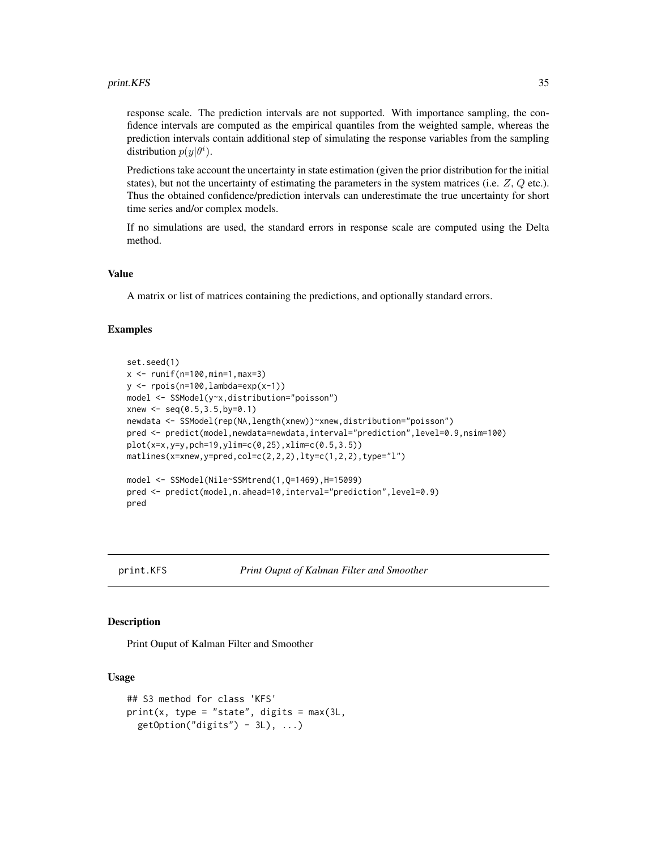<span id="page-34-0"></span>response scale. The prediction intervals are not supported. With importance sampling, the confidence intervals are computed as the empirical quantiles from the weighted sample, whereas the prediction intervals contain additional step of simulating the response variables from the sampling distribution  $p(y|\theta^i)$ .

Predictions take account the uncertainty in state estimation (given the prior distribution for the initial states), but not the uncertainty of estimating the parameters in the system matrices (i.e.  $Z$ ,  $Q$  etc.). Thus the obtained confidence/prediction intervals can underestimate the true uncertainty for short time series and/or complex models.

If no simulations are used, the standard errors in response scale are computed using the Delta method.

#### Value

A matrix or list of matrices containing the predictions, and optionally standard errors.

#### Examples

```
set.seed(1)
x \le - runif(n=100,min=1,max=3)
y \leftarrow \text{rpois}(n=100, \text{lambda}=\exp(x-1))model <- SSModel(y~x,distribution="poisson")
xnew \leq seq(0.5, 3.5, by=0.1)
newdata <- SSModel(rep(NA,length(xnew))~xnew,distribution="poisson")
pred <- predict(model,newdata=newdata,interval="prediction",level=0.9,nsim=100)
plot(x=x,y=y,peh=19,ylim=c(0,25),xlim=c(0.5,3.5))matlines(x=xnew,y=pred,col=c(2,2,2),lty=c(1,2,2),type="l")
model <- SSModel(Nile~SSMtrend(1,Q=1469),H=15099)
pred <- predict(model,n.ahead=10,interval="prediction",level=0.9)
pred
```
print.KFS *Print Ouput of Kalman Filter and Smoother*

### **Description**

Print Ouput of Kalman Filter and Smoother

#### Usage

```
## S3 method for class 'KFS'
print(x, type = "state", digits = max(3L,getOption("digits") - 3L), ...
```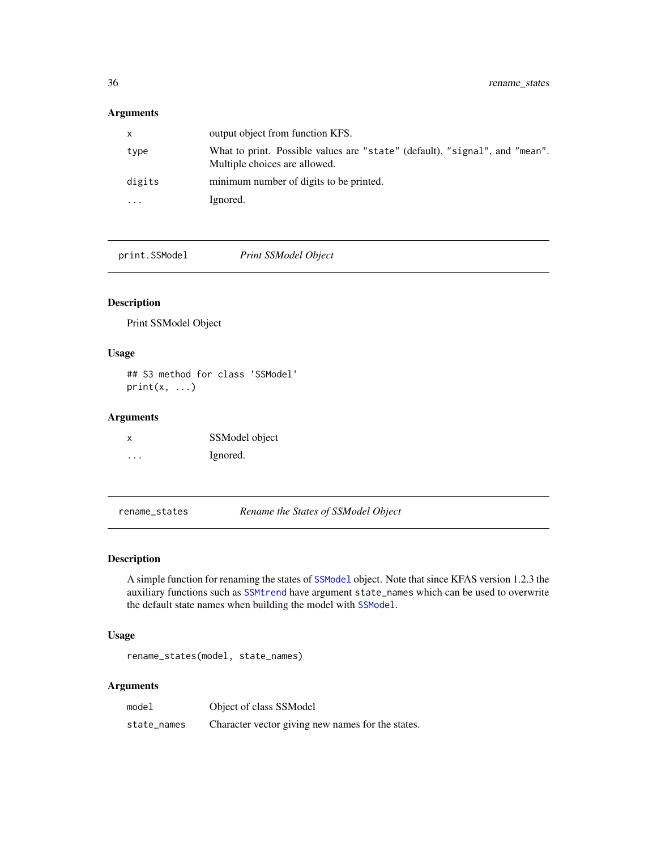# <span id="page-35-0"></span>Arguments

| $\mathsf{x}$ | output object from function KFS.                                                                             |
|--------------|--------------------------------------------------------------------------------------------------------------|
| type         | What to print. Possible values are "state" (default), "signal", and "mean".<br>Multiple choices are allowed. |
| digits       | minimum number of digits to be printed.                                                                      |
| $\cdots$     | Ignored.                                                                                                     |

print.SSModel *Print SSModel Object*

# Description

Print SSModel Object

# Usage

## S3 method for class 'SSModel'  $print(x, \ldots)$ 

# Arguments

| X | SSModel object |
|---|----------------|
| . | Ignored.       |

rename\_states *Rename the States of SSModel Object*

#### Description

A simple function for renaming the states of [SSModel](#page-43-1) object. Note that since KFAS version 1.2.3 the auxiliary functions such as [SSMtrend](#page-43-1) have argument state\_names which can be used to overwrite the default state names when building the model with [SSModel](#page-43-1).

### Usage

rename\_states(model, state\_names)

#### Arguments

model Object of class SSModel state\_names Character vector giving new names for the states.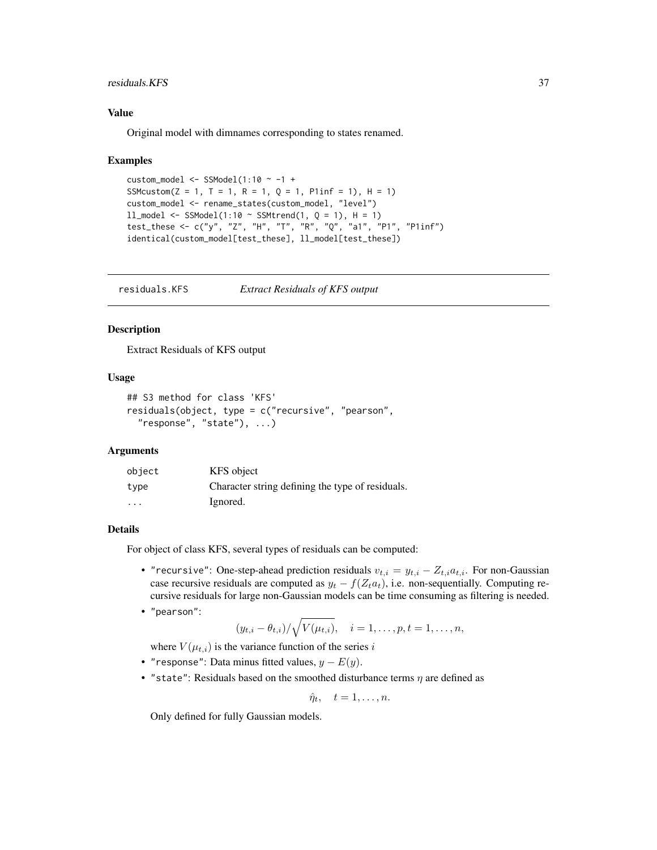# <span id="page-36-0"></span>residuals.KFS 37

## Value

Original model with dimnames corresponding to states renamed.

#### Examples

```
custom_model <- SSModel(1:10 \sim -1 +
SSMcustom(Z = 1, T = 1, R = 1, Q = 1, P1inf = 1), H = 1)
custom_model <- rename_states(custom_model, "level")
11_model <- SSModel(1:10 ~ SSMtrend(1, Q = 1), H = 1)
test_these <- c("y", "Z", "H", "T", "R", "Q", "a1", "P1", "P1inf")
identical(custom_model[test_these], ll_model[test_these])
```
residuals.KFS *Extract Residuals of KFS output*

# **Description**

Extract Residuals of KFS output

## Usage

```
## S3 method for class 'KFS'
residuals(object, type = c("recursive", "pearson",
  "response", "state"), ...)
```
# Arguments

| object                  | KFS object                                       |
|-------------------------|--------------------------------------------------|
| type                    | Character string defining the type of residuals. |
| $\cdot$ $\cdot$ $\cdot$ | Ignored.                                         |

## Details

For object of class KFS, several types of residuals can be computed:

- "recursive": One-step-ahead prediction residuals  $v_{t,i} = y_{t,i} Z_{t,i} a_{t,i}$ . For non-Gaussian case recursive residuals are computed as  $y_t - f(Z_t a_t)$ , i.e. non-sequentially. Computing recursive residuals for large non-Gaussian models can be time consuming as filtering is needed.
- "pearson":

$$
(y_{t,i} - \theta_{t,i})/\sqrt{V(\mu_{t,i})}, \quad i = 1,\ldots,p, t = 1,\ldots,n,
$$

where  $V(\mu_{t,i})$  is the variance function of the series i

- "response": Data minus fitted values,  $y E(y)$ .
- "state": Residuals based on the smoothed disturbance terms  $\eta$  are defined as

$$
\hat{\eta}_t, \quad t=1,\ldots,n.
$$

Only defined for fully Gaussian models.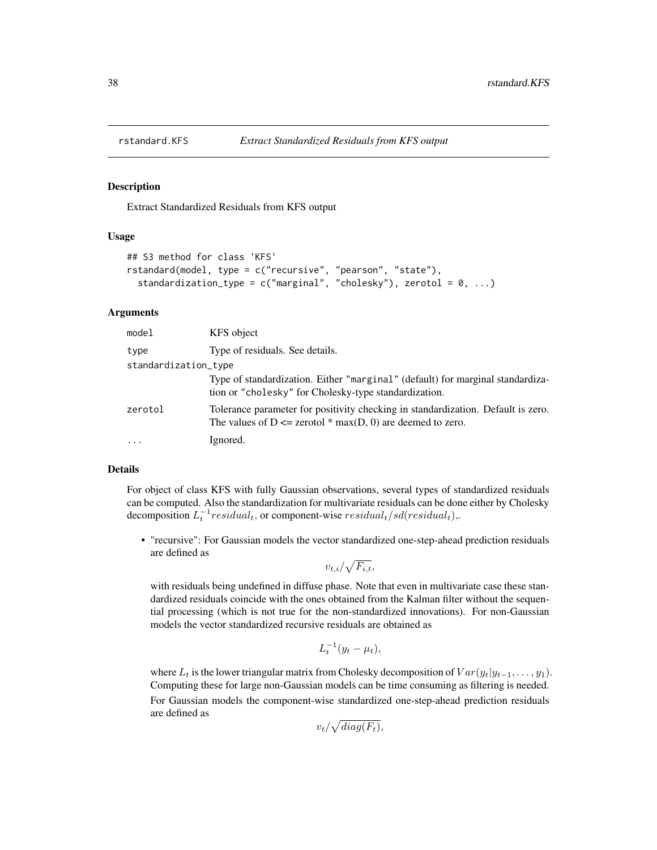<span id="page-37-1"></span><span id="page-37-0"></span>

#### Description

Extract Standardized Residuals from KFS output

# Usage

```
## S3 method for class 'KFS'
rstandard(model, type = c("recursive", "pearson", "state"),
  standardization_type = c("marginal", "cholesky"), zerotol = 0, ...)
```
# Arguments

| model                | KFS object                                                                                                                                        |
|----------------------|---------------------------------------------------------------------------------------------------------------------------------------------------|
| type                 | Type of residuals. See details.                                                                                                                   |
| standardization_type |                                                                                                                                                   |
|                      | Type of standardization. Either "marginal" (default) for marginal standardiza-<br>tion or "cholesky" for Cholesky-type standardization.           |
| zerotol              | Tolerance parameter for positivity checking in standardization. Default is zero.<br>The values of $D \le$ zerotol * max(D, 0) are deemed to zero. |
| $\ddotsc$            | Ignored.                                                                                                                                          |

#### Details

For object of class KFS with fully Gaussian observations, several types of standardized residuals can be computed. Also the standardization for multivariate residuals can be done either by Cholesky decomposition  $L_t^{-1}$  residual<sub>t</sub>, or component-wise  $residual_t/sd(residual_t)$ ,.

• "recursive": For Gaussian models the vector standardized one-step-ahead prediction residuals are defined as

$$
v_{t,i}/\sqrt{F_{i,t}},
$$

with residuals being undefined in diffuse phase. Note that even in multivariate case these standardized residuals coincide with the ones obtained from the Kalman filter without the sequential processing (which is not true for the non-standardized innovations). For non-Gaussian models the vector standardized recursive residuals are obtained as

$$
L_t^{-1}(y_t - \mu_t),
$$

where  $L_t$  is the lower triangular matrix from Cholesky decomposition of  $Var(y_t|y_{t-1}, \ldots, y_1)$ . Computing these for large non-Gaussian models can be time consuming as filtering is needed. For Gaussian models the component-wise standardized one-step-ahead prediction residuals are defined as

$$
v_t/\sqrt{diag(F_t)},
$$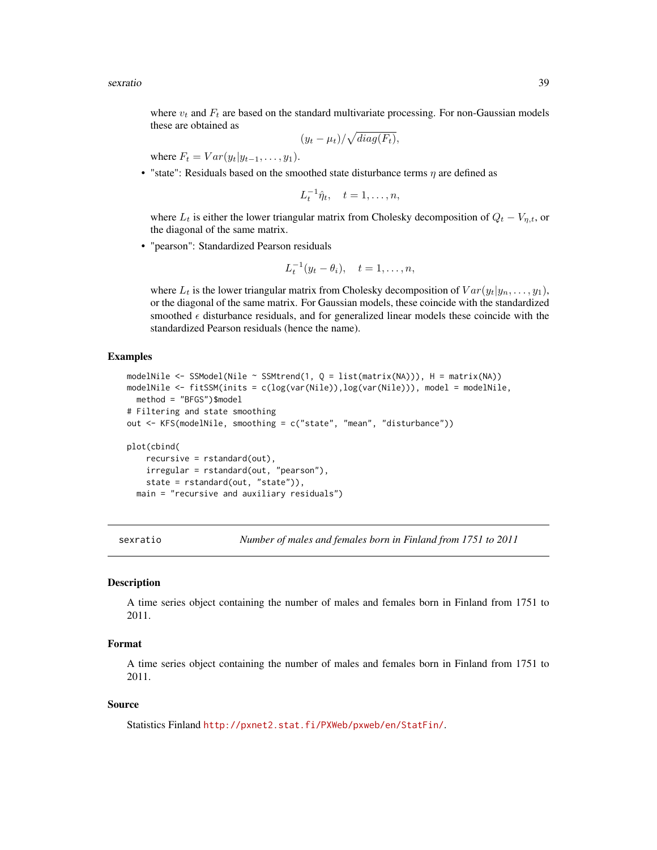<span id="page-38-0"></span>sexratio 39

where  $v_t$  and  $F_t$  are based on the standard multivariate processing. For non-Gaussian models these are obtained as

$$
(y_t - \mu_t) / \sqrt{diag(F_t)},
$$

where  $F_t = Var(y_t|y_{t-1}, \ldots, y_1)$ .

• "state": Residuals based on the smoothed state disturbance terms  $\eta$  are defined as

$$
L_t^{-1}\hat{\eta}_t, \quad t=1,\ldots,n,
$$

where  $L_t$  is either the lower triangular matrix from Cholesky decomposition of  $Q_t - V_{\eta,t}$ , or the diagonal of the same matrix.

• "pearson": Standardized Pearson residuals

$$
L_t^{-1}(y_t - \theta_i), \quad t = 1, \dots, n,
$$

where  $L_t$  is the lower triangular matrix from Cholesky decomposition of  $Var(y_t|y_n, \ldots, y_1)$ , or the diagonal of the same matrix. For Gaussian models, these coincide with the standardized smoothed  $\epsilon$  disturbance residuals, and for generalized linear models these coincide with the standardized Pearson residuals (hence the name).

# Examples

```
modelNile \leq SSModel(Nile \sim SSMtrend(1, Q = list(matrix(NA))), H = matrix(NA))
modelNile <- fitSSM(inits = c(log(var(Nile)),log(var(Nile))), model = modelNile,
 method = "BFGS")$model
# Filtering and state smoothing
out <- KFS(modelNile, smoothing = c("state", "mean", "disturbance"))
plot(cbind(
    recursive = rstandard(out),
   irregular = rstandard(out, "pearson"),
   state = rstandard(out, "state")),
 main = "recursive and auxiliary residuals")
```
<span id="page-38-1"></span>sexratio *Number of males and females born in Finland from 1751 to 2011*

#### Description

A time series object containing the number of males and females born in Finland from 1751 to 2011.

# Format

A time series object containing the number of males and females born in Finland from 1751 to 2011.

#### Source

Statistics Finland <http://pxnet2.stat.fi/PXWeb/pxweb/en/StatFin/>.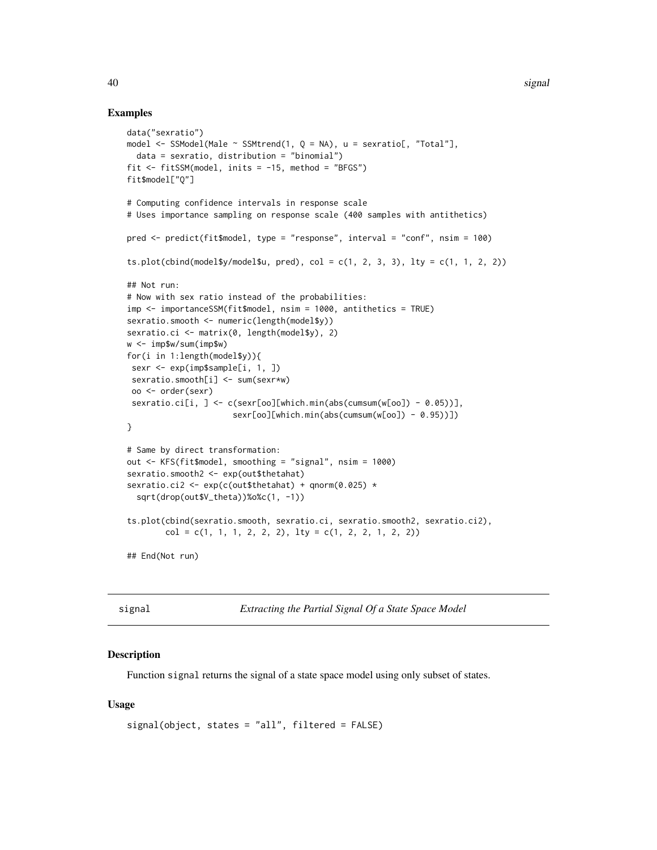#### Examples

```
data("sexratio")
model \le SSModel(Male \le SSMtrend(1, Q = NA), u = sexratio[, "Total"],
  data = sexratio, distribution = "binomial")
fit \le fitSSM(model, inits = -15, method = "BFGS")
fit$model["Q"]
# Computing confidence intervals in response scale
# Uses importance sampling on response scale (400 samples with antithetics)
pred <- predict(fit$model, type = "response", interval = "conf", nsim = 100)
ts.plot(cbind(model$y/model$u, pred), col = c(1, 2, 3, 3), lty = c(1, 1, 2, 2))
## Not run:
# Now with sex ratio instead of the probabilities:
imp <- importanceSSM(fit$model, nsim = 1000, antithetics = TRUE)
sexratio.smooth <- numeric(length(model$y))
sexratio.ci <- matrix(0, length(model$y), 2)
w <- imp$w/sum(imp$w)
for(i in 1:length(model$y)){
 sexr <- exp(imp$sample[i, 1, ])
 sexratio.smooth[i] <- sum(sexr*w)
 oo <- order(sexr)
 sexratio.ci[i, ] <- c(sexr[oo][which.min(abs(cumsum(w[oo]) - 0.05))],
                      sexr[oo][which.min(abs(cumsum(w[oo]) - 0.95))])
}
# Same by direct transformation:
out <- KFS(fit$model, smoothing = "signal", nsim = 1000)
sexratio.smooth2 <- exp(out$thetahat)
sexratio.ci2 <- exp(c(out$thetahat) + qnorm(0.025) *
  sqrt(drop(out$V_theta))%o%c(1, -1))
ts.plot(cbind(sexratio.smooth, sexratio.ci, sexratio.smooth2, sexratio.ci2),
        col = c(1, 1, 1, 2, 2, 2), lty = c(1, 2, 2, 1, 2, 2))## End(Not run)
```
<span id="page-39-1"></span>signal *Extracting the Partial Signal Of a State Space Model*

#### Description

Function signal returns the signal of a state space model using only subset of states.

#### Usage

```
signal(object, states = "all", filtered = FALSE)
```
<span id="page-39-0"></span>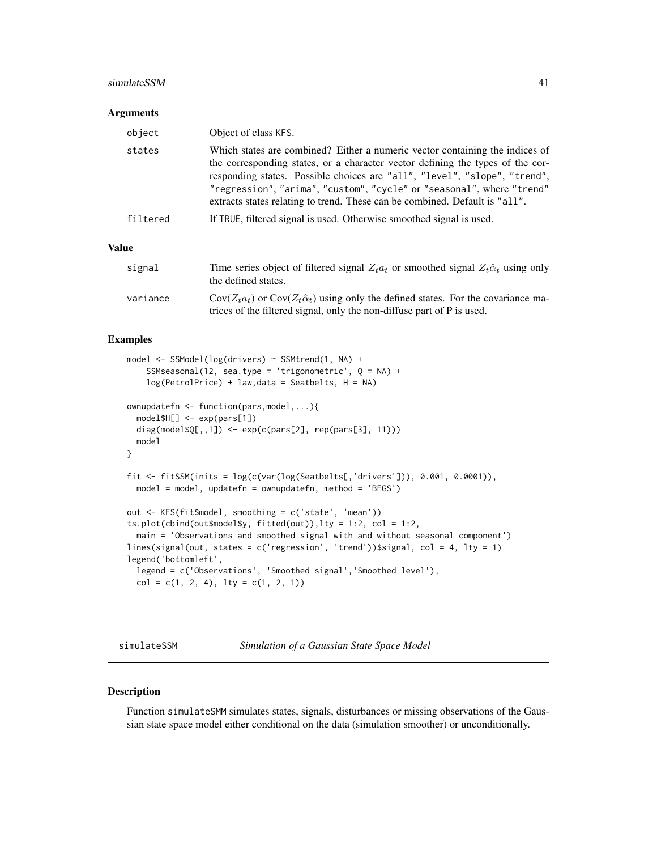#### <span id="page-40-0"></span>simulateSSM 41

#### **Arguments**

| object       | Object of class KFS.                                                                                                                                                                                                                                                                                                                                                                                |
|--------------|-----------------------------------------------------------------------------------------------------------------------------------------------------------------------------------------------------------------------------------------------------------------------------------------------------------------------------------------------------------------------------------------------------|
| states       | Which states are combined? Either a numeric vector containing the indices of<br>the corresponding states, or a character vector defining the types of the cor-<br>responding states. Possible choices are "all", "level", "slope", "trend",<br>"regression", "arima", "custom", "cycle" or "seasonal", where "trend"<br>extracts states relating to trend. These can be combined. Default is "all". |
| filtered     | If TRUE, filtered signal is used. Otherwise smoothed signal is used.                                                                                                                                                                                                                                                                                                                                |
| <b>Value</b> |                                                                                                                                                                                                                                                                                                                                                                                                     |
| signal       | Time series object of filtered signal $Z_t a_t$ or smoothed signal $Z_t \hat{\alpha}_t$ using only<br>the defined states.                                                                                                                                                                                                                                                                           |

| variance | $Cov(Z_t a_t)$ or $Cov(Z_t a_t)$ using only the defined states. For the covariance ma- |
|----------|----------------------------------------------------------------------------------------|
|          | trices of the filtered signal, only the non-diffuse part of P is used.                 |

# Examples

```
model <- SSModel(log(drivers) ~ SSMtrend(1, NA) +
    SSMseasonal(12, sea.type = 'trigonometric', Q = NA) +
    log(PetrolPrice) + law,data = Seatbelts, H = NA)
ownupdatefn <- function(pars,model,...){
  model$H[] <- exp(pars[1])
  diag(model$Q[,,1]) <- exp(c(pars[2], rep(pars[3], 11)))
  model
}
fit <- fitSSM(inits = log(c(var(log(Seatbelts[,'drivers'])), 0.001, 0.0001)),
  model = model, updatefn = ownupdatefn, method = 'BFGS')
out <- KFS(fit$model, smoothing = c('state', 'mean'))
ts.plot(cbind(out$model$y, fitted(out)),lty = 1:2, col = 1:2,
  main = 'Observations and smoothed signal with and without seasonal component')
lines(signal(out, states = c('regression', 'trend'))$signal, col = 4, lty = 1)
legend('bottomleft',
  legend = c('Observations', 'Smoothed signal','Smoothed level'),
  col = c(1, 2, 4), lty = c(1, 2, 1))
```
simulateSSM *Simulation of a Gaussian State Space Model*

#### Description

Function simulateSMM simulates states, signals, disturbances or missing observations of the Gaussian state space model either conditional on the data (simulation smoother) or unconditionally.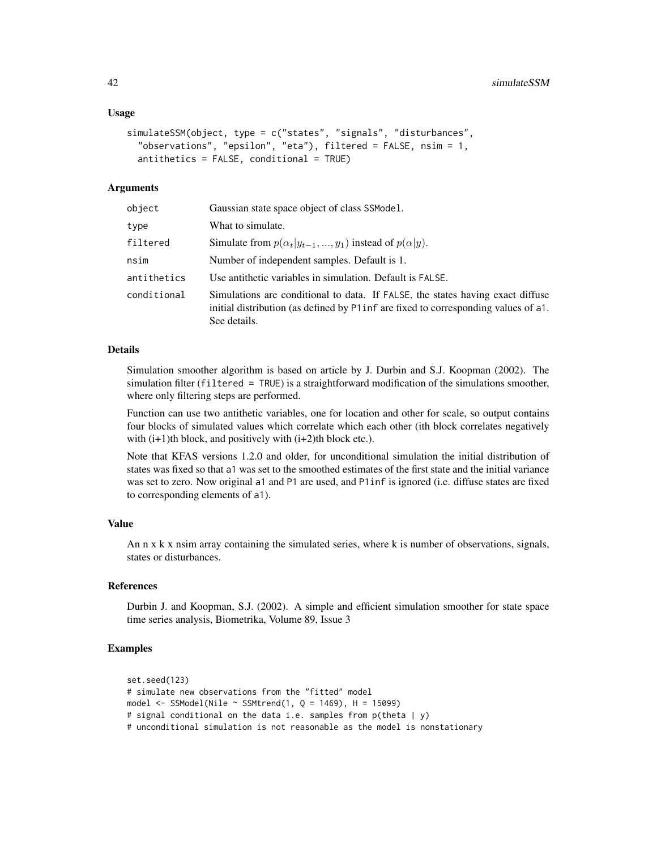#### Usage

```
simulateSSM(object, type = c("states", "signals", "disturbances",
  "observations", "epsilon", "eta"), filtered = FALSE, nsim = 1,
  antithetics = FALSE, conditional = TRUE)
```
#### Arguments

| object      | Gaussian state space object of class SSModel.                                                                                                                                         |
|-------------|---------------------------------------------------------------------------------------------------------------------------------------------------------------------------------------|
| type        | What to simulate.                                                                                                                                                                     |
| filtered    | Simulate from $p(\alpha_t   y_{t-1}, , y_1)$ instead of $p(\alpha   y)$ .                                                                                                             |
| nsim        | Number of independent samples. Default is 1.                                                                                                                                          |
| antithetics | Use antithetic variables in simulation. Default is FALSE.                                                                                                                             |
| conditional | Simulations are conditional to data. If FALSE, the states having exact diffuse<br>initial distribution (as defined by P1 inf are fixed to corresponding values of a1.<br>See details. |

# Details

Simulation smoother algorithm is based on article by J. Durbin and S.J. Koopman (2002). The simulation filter (filtered = TRUE) is a straightforward modification of the simulations smoother, where only filtering steps are performed.

Function can use two antithetic variables, one for location and other for scale, so output contains four blocks of simulated values which correlate which each other (ith block correlates negatively with  $(i+1)$ th block, and positively with  $(i+2)$ th block etc.).

Note that KFAS versions 1.2.0 and older, for unconditional simulation the initial distribution of states was fixed so that a1 was set to the smoothed estimates of the first state and the initial variance was set to zero. Now original a1 and P1 are used, and P1inf is ignored (i.e. diffuse states are fixed to corresponding elements of a1).

#### Value

An n x k x nsim array containing the simulated series, where k is number of observations, signals, states or disturbances.

#### References

Durbin J. and Koopman, S.J. (2002). A simple and efficient simulation smoother for state space time series analysis, Biometrika, Volume 89, Issue 3

```
set.seed(123)
# simulate new observations from the "fitted" model
model <- SSModel(Nile ~ SSMtrend(1, Q = 1469), H = 15099)
# signal conditional on the data i.e. samples from p(theta | y)
# unconditional simulation is not reasonable as the model is nonstationary
```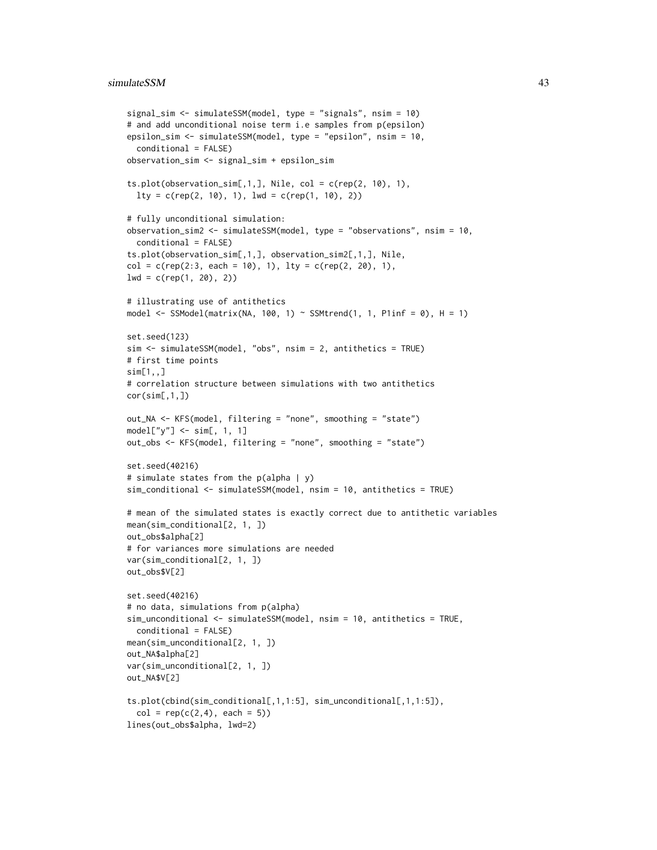```
signal_sim <- simulateSSM(model, type = "signals", nsim = 10)
# and add unconditional noise term i.e samples from p(epsilon)
epsilon_sim <- simulateSSM(model, type = "epsilon", nsim = 10,
  conditional = FALSE)
observation_sim <- signal_sim + epsilon_sim
ts.plot(observation\_sim[, 1,], Nile, col = c(rep(2, 10), 1),lty = c(rep(2, 10), 1), lwd = c(rep(1, 10), 2))# fully unconditional simulation:
observation_sim2 <- simulateSSM(model, type = "observations", nsim = 10,
  conditional = FALSE)
ts.plot(observation_sim[,1,], observation_sim2[,1,], Nile,
col = c(rep(2:3, each = 10), 1), lty = c(rep(2, 20), 1),lwd = c(rep(1, 20), 2))# illustrating use of antithetics
model \leq SSModel(matrix(NA, 100, 1) \sim SSMtrend(1, 1, P1inf = 0), H = 1)
set.seed(123)
sim <- simulateSSM(model, "obs", nsim = 2, antithetics = TRUE)
# first time points
sim[1, 1]# correlation structure between simulations with two antithetics
cor(sim[,1,])out_NA <- KFS(model, filtering = "none", smoothing = "state")
model['y''] \leftarrow sim[, 1, 1]out_obs <- KFS(model, filtering = "none", smoothing = "state")
set.seed(40216)
# simulate states from the p(alpha | y)
sim_conditional <- simulateSSM(model, nsim = 10, antithetics = TRUE)
# mean of the simulated states is exactly correct due to antithetic variables
mean(sim_conditional[2, 1, ])
out_obs$alpha[2]
# for variances more simulations are needed
var(sim_conditional[2, 1, ])
out_obs$V[2]
set.seed(40216)
# no data, simulations from p(alpha)
sim_unconditional <- simulateSSM(model, nsim = 10, antithetics = TRUE,
  conditional = FALSE)
mean(sim_unconditional[2, 1, ])
out_NA$alpha[2]
var(sim_unconditional[2, 1, ])
out_NA$V[2]
ts.plot(cbind(sim_conditional[,1,1:5], sim_unconditional[,1,1:5]),
  col = rep(c(2, 4), each = 5)lines(out_obs$alpha, lwd=2)
```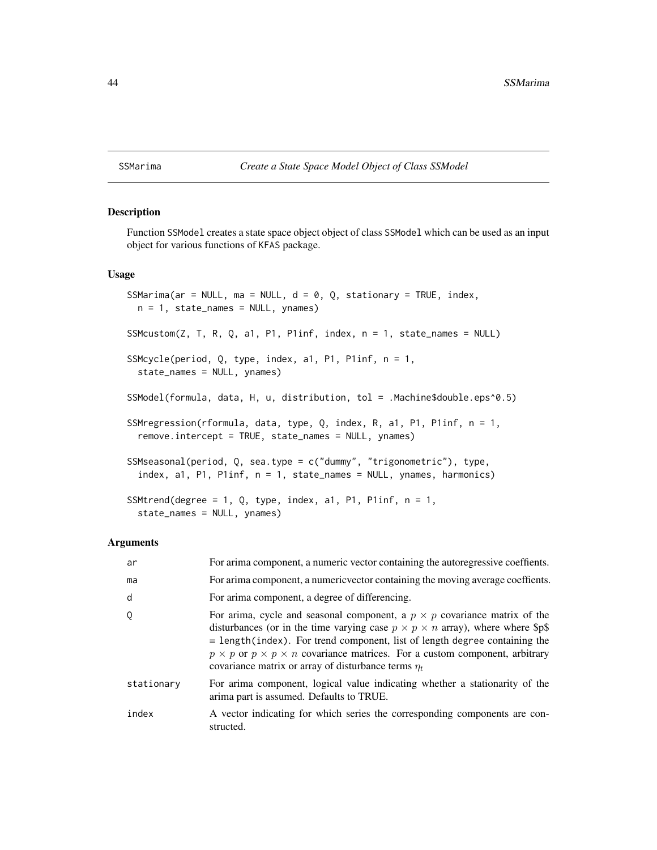#### <span id="page-43-0"></span>SSMarima *Create a State Space Model Object of Class SSModel*

# <span id="page-43-1"></span>Description

Function SSModel creates a state space object object of class SSModel which can be used as an input object for various functions of KFAS package.

#### Usage

```
SSMarima(ar = NULL, ma = NULL, d = 0, Q, stationary = TRUE, index,
 n = 1, state_names = NULL, ynames)
SSMcustom(Z, T, R, Q, a1, P1, P1inf, index, n = 1, state_names = NULL)
SSMcycle(period, Q, type, index, a1, P1, P1inf, n = 1,
  state_names = NULL, ynames)
SSModel(formula, data, H, u, distribution, tol = .Machine$double.eps^0.5)
SSMregression(rformula, data, type, Q, index, R, a1, P1, P1inf, n = 1,
  remove.intercept = TRUE, state_names = NULL, ynames)
SSMseasonal(period, Q, sea.type = c("dummy", "trigonometric"), type,
  index, a1, P1, P1inf, n = 1, state_names = NULL, ynames, harmonics)
SSMtrend(degree = 1, Q, type, index, a1, P1, P1inf, n = 1,
  state_names = NULL, ynames)
```
#### Arguments

| ar         | For arima component, a numeric vector containing the autoregressive coeffients.                                                                                                                                                                                                                                                                                                                                           |
|------------|---------------------------------------------------------------------------------------------------------------------------------------------------------------------------------------------------------------------------------------------------------------------------------------------------------------------------------------------------------------------------------------------------------------------------|
| ma         | For arima component, a numeric vector containing the moving average coeffients.                                                                                                                                                                                                                                                                                                                                           |
| d          | For arima component, a degree of differencing.                                                                                                                                                                                                                                                                                                                                                                            |
| 0          | For arima, cycle and seasonal component, a $p \times p$ covariance matrix of the<br>disturbances (or in the time varying case $p \times p \times n$ array), where where \$p\$<br>$=$ length(index). For trend component, list of length degree containing the<br>$p \times p$ or $p \times p \times n$ covariance matrices. For a custom component, arbitrary<br>covariance matrix or array of disturbance terms $\eta_t$ |
| stationary | For arima component, logical value indicating whether a stationarity of the<br>arima part is assumed. Defaults to TRUE.                                                                                                                                                                                                                                                                                                   |
| index      | A vector indicating for which series the corresponding components are con-<br>structed.                                                                                                                                                                                                                                                                                                                                   |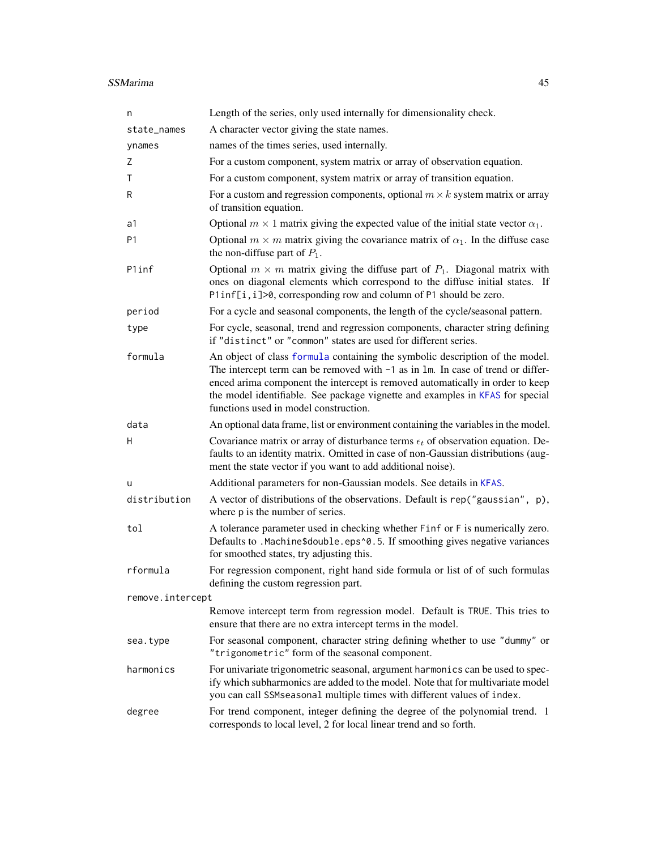#### <span id="page-44-0"></span>SSMarima and the state of the state of the state of the state of the state of the state of the state of the state of the state of the state of the state of the state of the state of the state of the state of the state of t

| n                | Length of the series, only used internally for dimensionality check.                                                                                                                                                                                                                                                                                                                   |
|------------------|----------------------------------------------------------------------------------------------------------------------------------------------------------------------------------------------------------------------------------------------------------------------------------------------------------------------------------------------------------------------------------------|
| state_names      | A character vector giving the state names.                                                                                                                                                                                                                                                                                                                                             |
| ynames           | names of the times series, used internally.                                                                                                                                                                                                                                                                                                                                            |
| Ζ                | For a custom component, system matrix or array of observation equation.                                                                                                                                                                                                                                                                                                                |
| т                | For a custom component, system matrix or array of transition equation.                                                                                                                                                                                                                                                                                                                 |
| R                | For a custom and regression components, optional $m \times k$ system matrix or array<br>of transition equation.                                                                                                                                                                                                                                                                        |
| a1               | Optional $m \times 1$ matrix giving the expected value of the initial state vector $\alpha_1$ .                                                                                                                                                                                                                                                                                        |
| P <sub>1</sub>   | Optional $m \times m$ matrix giving the covariance matrix of $\alpha_1$ . In the diffuse case<br>the non-diffuse part of $P_1$ .                                                                                                                                                                                                                                                       |
| P1inf            | Optional $m \times m$ matrix giving the diffuse part of $P_1$ . Diagonal matrix with<br>ones on diagonal elements which correspond to the diffuse initial states. If<br>P1inf[i, i]>0, corresponding row and column of P1 should be zero.                                                                                                                                              |
| period           | For a cycle and seasonal components, the length of the cycle/seasonal pattern.                                                                                                                                                                                                                                                                                                         |
| type             | For cycle, seasonal, trend and regression components, character string defining<br>if "distinct" or "common" states are used for different series.                                                                                                                                                                                                                                     |
| formula          | An object of class formula containing the symbolic description of the model.<br>The intercept term can be removed with $-1$ as in $\text{Im}$ . In case of trend or differ-<br>enced arima component the intercept is removed automatically in order to keep<br>the model identifiable. See package vignette and examples in KFAS for special<br>functions used in model construction. |
| data             | An optional data frame, list or environment containing the variables in the model.                                                                                                                                                                                                                                                                                                     |
| H                | Covariance matrix or array of disturbance terms $\epsilon_t$ of observation equation. De-<br>faults to an identity matrix. Omitted in case of non-Gaussian distributions (aug-<br>ment the state vector if you want to add additional noise).                                                                                                                                          |
| u                | Additional parameters for non-Gaussian models. See details in KFAS.                                                                                                                                                                                                                                                                                                                    |
| distribution     | A vector of distributions of the observations. Default is rep("gaussian", p),<br>where p is the number of series.                                                                                                                                                                                                                                                                      |
| tol              | A tolerance parameter used in checking whether Finf or F is numerically zero.<br>Defaults to .Machine\$double.eps^0.5. If smoothing gives negative variances<br>for smoothed states, try adjusting this.                                                                                                                                                                               |
| rformula         | For regression component, right hand side formula or list of of such formulas<br>defining the custom regression part.                                                                                                                                                                                                                                                                  |
| remove.intercept |                                                                                                                                                                                                                                                                                                                                                                                        |
|                  | Remove intercept term from regression model. Default is TRUE. This tries to<br>ensure that there are no extra intercept terms in the model.                                                                                                                                                                                                                                            |
| sea.type         | For seasonal component, character string defining whether to use "dummy" or<br>"trigonometric" form of the seasonal component.                                                                                                                                                                                                                                                         |
| harmonics        | For univariate trigonometric seasonal, argument harmonics can be used to spec-<br>ify which subharmonics are added to the model. Note that for multivariate model<br>you can call SSMseasonal multiple times with different values of index.                                                                                                                                           |
| degree           | For trend component, integer defining the degree of the polynomial trend. 1<br>corresponds to local level, 2 for local linear trend and so forth.                                                                                                                                                                                                                                      |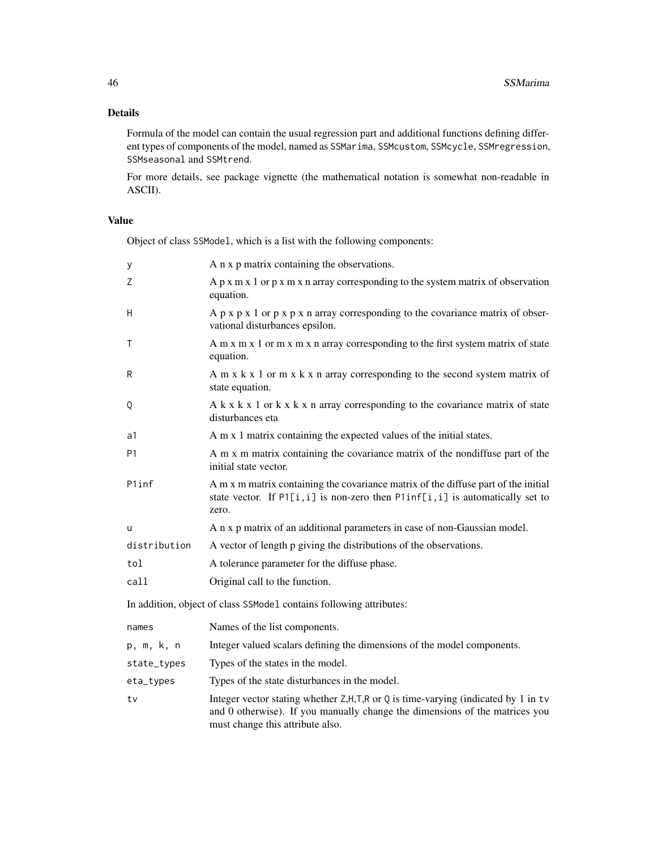# Details

Formula of the model can contain the usual regression part and additional functions defining different types of components of the model, named as SSMarima, SSMcustom, SSMcycle, SSMregression, SSMseasonal and SSMtrend.

For more details, see package vignette (the mathematical notation is somewhat non-readable in ASCII).

# Value

Object of class SSModel, which is a list with the following components:

| у              | A n x p matrix containing the observations.                                                                                                                                                             |
|----------------|---------------------------------------------------------------------------------------------------------------------------------------------------------------------------------------------------------|
| Z              | A $p \times m \times 1$ or $p \times m \times n$ array corresponding to the system matrix of observation<br>equation.                                                                                   |
| H              | A $p \times p \times 1$ or $p \times p \times n$ array corresponding to the covariance matrix of obser-<br>vational disturbances epsilon.                                                               |
| $\mathsf{T}$   | A m x m x 1 or m x m x n array corresponding to the first system matrix of state<br>equation.                                                                                                           |
| R              | A m $x$ k $x$ 1 or m $x$ k $x$ n array corresponding to the second system matrix of<br>state equation.                                                                                                  |
| Q              | $A$ k x k x 1 or k x k x n array corresponding to the covariance matrix of state<br>disturbances eta                                                                                                    |
| a1             | A m x 1 matrix containing the expected values of the initial states.                                                                                                                                    |
| P <sub>1</sub> | A m x m matrix containing the covariance matrix of the nondiffuse part of the<br>initial state vector.                                                                                                  |
| P1inf          | A m x m matrix containing the covariance matrix of the diffuse part of the initial<br>state vector. If $PI[i, i]$ is non-zero then $PIinf[i, i]$ is automatically set to<br>zero.                       |
| u              | A n x p matrix of an additional parameters in case of non-Gaussian model.                                                                                                                               |
| distribution   | A vector of length p giving the distributions of the observations.                                                                                                                                      |
| tol            | A tolerance parameter for the diffuse phase.                                                                                                                                                            |
| call           | Original call to the function.                                                                                                                                                                          |
|                | In addition, object of class SSModel contains following attributes:                                                                                                                                     |
| names          | Names of the list components.                                                                                                                                                                           |
| p, m, k, n     | Integer valued scalars defining the dimensions of the model components.                                                                                                                                 |
| state_types    | Types of the states in the model.                                                                                                                                                                       |
| eta_types      | Types of the state disturbances in the model.                                                                                                                                                           |
| tv             | Integer vector stating whether Z, H, T, R or Q is time-varying (indicated by 1 in tv<br>and 0 otherwise). If you manually change the dimensions of the matrices you<br>must change this attribute also. |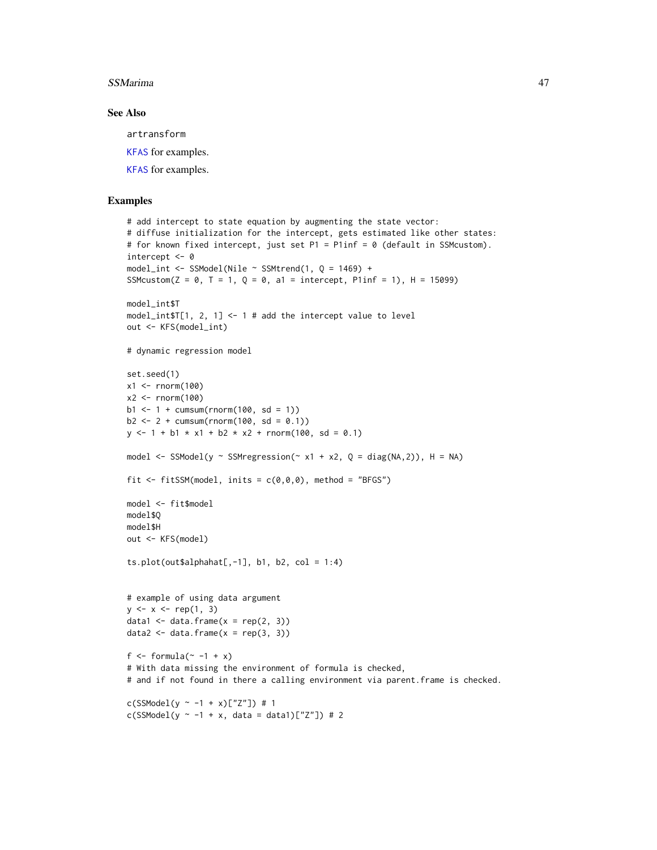#### <span id="page-46-0"></span>SSMarima and the state of the state of the state of the state of the state of the state of the state of the state of the state of the state of the state of the state of the state of the state of the state of the state of t

# See Also

artransform

[KFAS](#page-15-1) for examples.

[KFAS](#page-15-1) for examples.

```
# add intercept to state equation by augmenting the state vector:
# diffuse initialization for the intercept, gets estimated like other states:
# for known fixed intercept, just set P1 = P1inf = 0 (default in SSMcustom).
intercept <- 0
model_int <- SSModel(Nile \sim SSMtrend(1, Q = 1469) +
SSMcustom(Z = 0, T = 1, Q = 0, a1 = intercept, Plinf = 1), H = 15099)
model_int$T
model_int$T[1, 2, 1] <- 1 # add the intercept value to level
out <- KFS(model_int)
# dynamic regression model
set.seed(1)
x1 <- rnorm(100)x2 < - rnorm(100)
b1 \le -1 + \text{cumsum}( \text{rnorm}(100, \text{sd} = 1))b2 \le -2 + \text{cumsum}( \text{rnorm}(100, \text{sd} = 0.1))y \le -1 + b1 \times x1 + b2 \times x2 + \text{rnorm}(100, \text{ sd} = 0.1)model \leq SSModel(y \sim SSMregression(\sim x1 + x2, Q = diag(NA,2)), H = NA)
fit \le fitSSM(model, inits = c(\emptyset, \emptyset, \emptyset), method = "BFGS")
model <- fit$model
model$Q
model$H
out <- KFS(model)
ts.plot(out$alphahat[-1], b1, b2, col = 1:4)
# example of using data argument
y \le -x \le -\text{rep}(1, 3)data1 <- data.frame(x = rep(2, 3))data2 <- data.frame(x = rep(3, 3))f \le formula(\sim -1 + x)
# With data missing the environment of formula is checked,
# and if not found in there a calling environment via parent.frame is checked.
c(SSModel(y ~ -1 + x)["Z"]) # 1
c(SSModel(y - -1 + x, data = data1)["Z"] # 2
```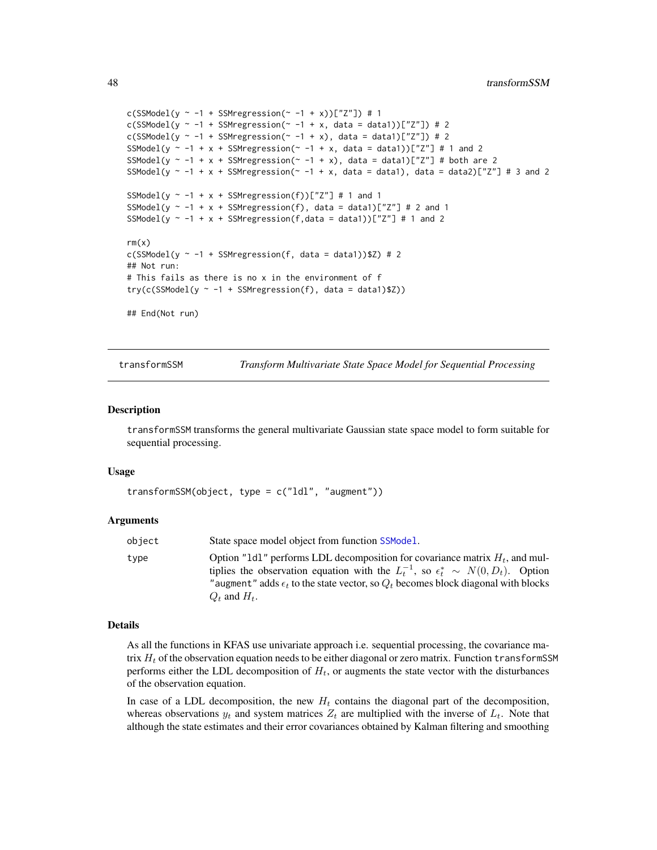```
c(SSModel(y \sim -1 + SSMregression(\sim -1 + x))["Z"]) # 1
c(SSModel(y \sim -1 + SSMregression(\sim -1 + x, data = data1))["Z"]) # 2
c(SSModel(y \sim -1 + SSMregression(\sim -1 + x), data = data1)["Z"]) # 2
SSModel(y \sim -1 + x + SSMregression(\sim -1 + x, data = data1))["Z"] # 1 and 2
SSModel(y \sim -1 + x + SSMregression(\sim -1 + x), data = data1)["Z"] # both are 2
SSModel(y \sim -1 + x + SSMregression(\sim -1 + x, data = data1), data = data2)["Z"] # 3 and 2
SSModel(y \sim -1 + x + SSMregression(f))["Z"] # 1 and 1
SSModel(y \sim -1 + x + SSMregression(f), data = data1)["Z"] # 2 and 1
SSModel(y \sim -1 + x + SSMregression(f,data = data1))["Z"] # 1 and 2
rm(x)c(SSModel(y \sim -1 + SSM regression(f, data = data1))$Z) # 2## Not run:
# This fails as there is no x in the environment of f
try(c(SSModel(y \sim -1 + SSM regression(f), data = data1)$Z))
## End(Not run)
```
transformSSM *Transform Multivariate State Space Model for Sequential Processing*

#### Description

transformSSM transforms the general multivariate Gaussian state space model to form suitable for sequential processing.

#### Usage

```
transformSSM(object, type = c("ldl", "augment"))
```
#### Arguments

| object | State space model object from function SSModel.                                                                                                                                                                                                                                                         |
|--------|---------------------------------------------------------------------------------------------------------------------------------------------------------------------------------------------------------------------------------------------------------------------------------------------------------|
| tvpe   | Option "1d1" performs LDL decomposition for covariance matrix $H_t$ , and mul-<br>tiplies the observation equation with the $L_t^{-1}$ , so $\epsilon_t^* \sim N(0, D_t)$ . Option<br>"augment" adds $\epsilon_t$ to the state vector, so $Q_t$ becomes block diagonal with blocks<br>$Q_t$ and $H_t$ . |

#### Details

As all the functions in KFAS use univariate approach i.e. sequential processing, the covariance matrix  $H_t$  of the observation equation needs to be either diagonal or zero matrix. Function transformSSM performs either the LDL decomposition of  $H_t$ , or augments the state vector with the disturbances of the observation equation.

In case of a LDL decomposition, the new  $H_t$  contains the diagonal part of the decomposition, whereas observations  $y_t$  and system matrices  $Z_t$  are multiplied with the inverse of  $L_t$ . Note that although the state estimates and their error covariances obtained by Kalman filtering and smoothing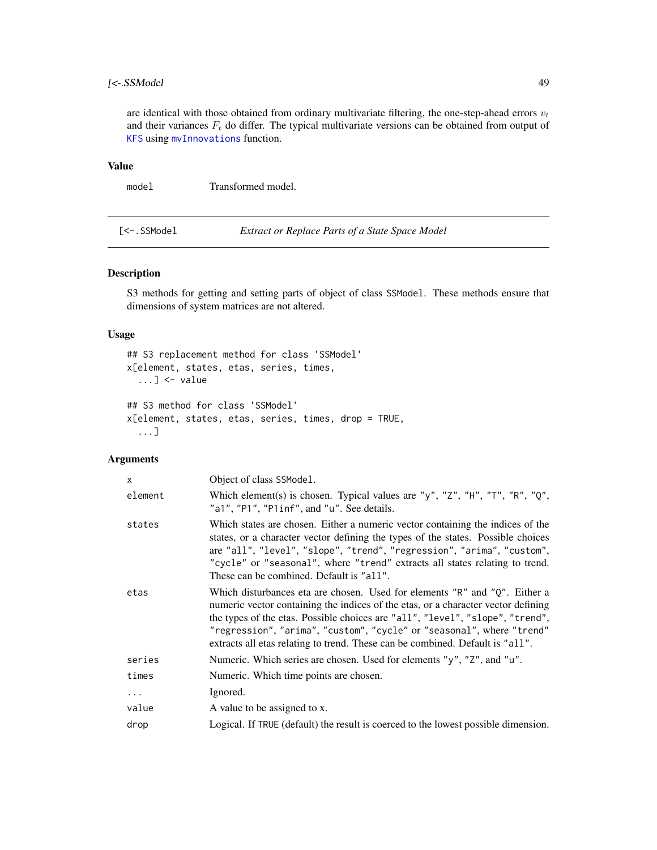# <span id="page-48-0"></span> $[\ltsim$ -SSModel 49

are identical with those obtained from ordinary multivariate filtering, the one-step-ahead errors  $v_t$ and their variances  $F_t$  do differ. The typical multivariate versions can be obtained from output of [KFS](#page-25-1) using [mvInnovations](#page-31-1) function.

# Value

model Transformed model.

[<-.SSModel *Extract or Replace Parts of a State Space Model*

# Description

S3 methods for getting and setting parts of object of class SSModel. These methods ensure that dimensions of system matrices are not altered.

#### Usage

```
## S3 replacement method for class 'SSModel'
x[element, states, etas, series, times,
  \dots] <- value
## S3 method for class 'SSModel'
x[element, states, etas, series, times, drop = TRUE,
  ...]
```
# Arguments

| $\mathsf{x}$ | Object of class SSModel.                                                                                                                                                                                                                                                                                                                                                                                   |
|--------------|------------------------------------------------------------------------------------------------------------------------------------------------------------------------------------------------------------------------------------------------------------------------------------------------------------------------------------------------------------------------------------------------------------|
| element      | Which element(s) is chosen. Typical values are "y", "Z", "H", "T", "R", "Q",<br>"a1", "P1", "P1inf", and "u". See details.                                                                                                                                                                                                                                                                                 |
| states       | Which states are chosen. Either a numeric vector containing the indices of the<br>states, or a character vector defining the types of the states. Possible choices<br>are "all", "level", "slope", "trend", "regression", "arima", "custom",<br>"cycle" or "seasonal", where "trend" extracts all states relating to trend.<br>These can be combined. Default is "all".                                    |
| etas         | Which disturbances eta are chosen. Used for elements "R" and "Q". Either a<br>numeric vector containing the indices of the etas, or a character vector defining<br>the types of the etas. Possible choices are "all", "level", "slope", "trend",<br>"regression", "arima", "custom", "cycle" or "seasonal", where "trend"<br>extracts all etas relating to trend. These can be combined. Default is "all". |
| series       | Numeric. Which series are chosen. Used for elements "y", "Z", and "u".                                                                                                                                                                                                                                                                                                                                     |
| times        | Numeric. Which time points are chosen.                                                                                                                                                                                                                                                                                                                                                                     |
| $\cdots$     | Ignored.                                                                                                                                                                                                                                                                                                                                                                                                   |
| value        | A value to be assigned to x.                                                                                                                                                                                                                                                                                                                                                                               |
| drop         | Logical. If TRUE (default) the result is coerced to the lowest possible dimension.                                                                                                                                                                                                                                                                                                                         |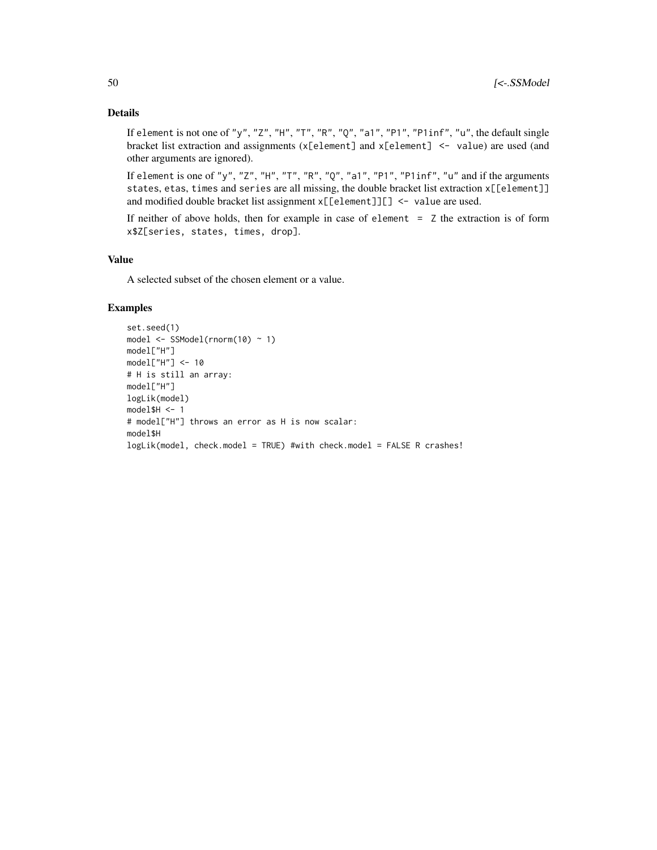# Details

If element is not one of "y", "Z", "H", "T", "R", "0", "a1", "P1", "P1inf", "u", the default single bracket list extraction and assignments  $(x[element]$  and  $x[element]$  <- value) are used (and other arguments are ignored).

If element is one of "y", "Z", "H", "T", "R", "Q", "a1", "P1", "P1inf", "u" and if the arguments states, etas, times and series are all missing, the double bracket list extraction x[[element]] and modified double bracket list assignment x[[element]][] <- value are used.

If neither of above holds, then for example in case of element = Z the extraction is of form x\$Z[series, states, times, drop].

# Value

A selected subset of the chosen element or a value.

```
set.seed(1)
model <- SSModel(rnorm(10) ~ 1)
model["H"]
model["H"] <- 10
# H is still an array:
model["H"]
logLik(model)
model$H < -1# model["H"] throws an error as H is now scalar:
model$H
logLik(model, check.model = TRUE) #with check.model = FALSE R crashes!
```